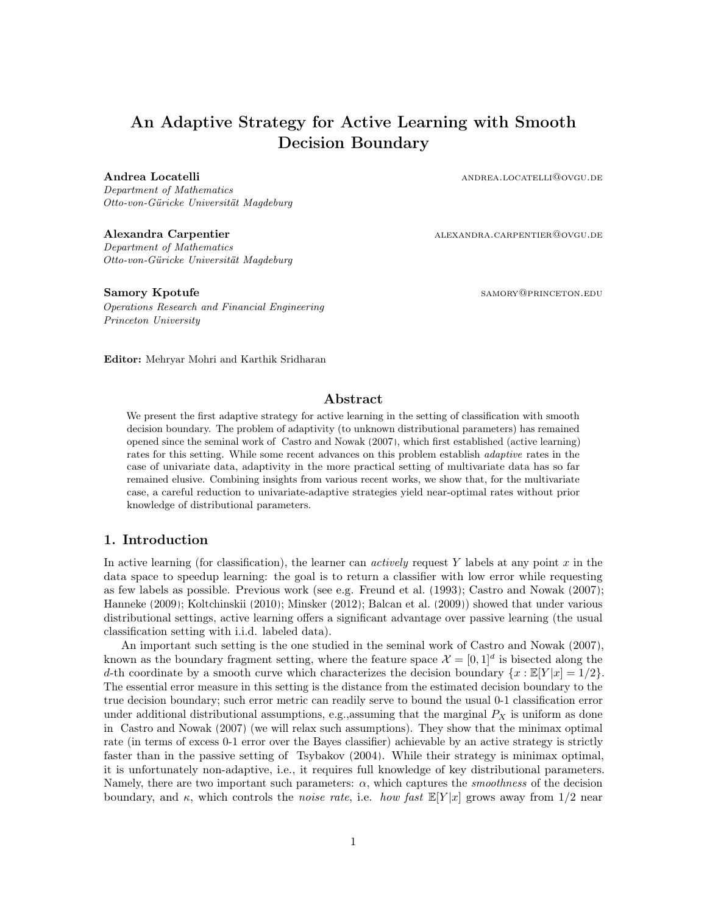# An Adaptive Strategy for Active Learning with Smooth Decision Boundary

Department of Mathematics Otto-von-Güricke Universität Magdeburg

Department of Mathematics Otto-von-Güricke Universität Magdeburg

Operations Research and Financial Engineering Princeton University

Andrea Locatelli and and and a set of the set of the set of the set of the set of the set of the set of the set of the set of the set of the set of the set of the set of the set of the set of the set of the set of the set

Alexandra Carpentier and alexandra.carpentier alexandra CARPENTIER@OVGU.DE

Samory Kpotufe samory Samory Charles and Samory Charles and Samory Charles and Samory Charles and Samory Charles and Samory Charles and Samory Charles and Samory Charles and Samory Charles and Samory Charles and Samory Cha

Editor: Mehryar Mohri and Karthik Sridharan

## Abstract

We present the first adaptive strategy for active learning in the setting of classification with smooth decision boundary. The problem of adaptivity (to unknown distributional parameters) has remained opened since the seminal work of [Castro and Nowak](#page-12-0) [\(2007\)](#page-12-0), which first established (active learning) rates for this setting. While some recent advances on this problem establish adaptive rates in the case of univariate data, adaptivity in the more practical setting of multivariate data has so far remained elusive. Combining insights from various recent works, we show that, for the multivariate case, a careful reduction to univariate-adaptive strategies yield near-optimal rates without prior knowledge of distributional parameters.

## <span id="page-0-0"></span>1. Introduction

In active learning (for classification), the learner can *actively* request Y labels at any point  $x$  in the data space to speedup learning: the goal is to return a classifier with low error while requesting as few labels as possible. Previous work (see e.g. [Freund et al.](#page-12-1) [\(1993\)](#page-12-1); [Castro and Nowak](#page-12-0) [\(2007\)](#page-12-0); [Hanneke](#page-12-2) [\(2009\)](#page-12-2); [Koltchinskii](#page-12-3) [\(2010\)](#page-12-3); [Minsker](#page-12-4) [\(2012\)](#page-12-4); [Balcan et al.](#page-12-5) [\(2009\)](#page-12-5)) showed that under various distributional settings, active learning offers a significant advantage over passive learning (the usual classification setting with i.i.d. labeled data).

An important such setting is the one studied in the seminal work of [Castro and Nowak](#page-12-0) [\(2007\)](#page-12-0), known as the boundary fragment setting, where the feature space  $\mathcal{X} = [0,1]^d$  is bisected along the d-th coordinate by a smooth curve which characterizes the decision boundary  $\{x : \mathbb{E}[Y|x] = 1/2\}$ . The essential error measure in this setting is the distance from the estimated decision boundary to the true decision boundary; such error metric can readily serve to bound the usual 0-1 classification error under additional distributional assumptions, e.g., assuming that the marginal  $P_X$  is uniform as done in [Castro and Nowak](#page-12-0) [\(2007\)](#page-12-0) (we will relax such assumptions). They show that the minimax optimal rate (in terms of excess 0-1 error over the Bayes classifier) achievable by an active strategy is strictly faster than in the passive setting of [Tsybakov](#page-13-0) [\(2004\)](#page-13-0). While their strategy is minimax optimal, it is unfortunately non-adaptive, i.e., it requires full knowledge of key distributional parameters. Namely, there are two important such parameters:  $\alpha$ , which captures the *smoothness* of the decision boundary, and  $\kappa$ , which controls the *noise rate*, i.e. *how fast*  $\mathbb{E}[Y|x]$  grows away from 1/2 near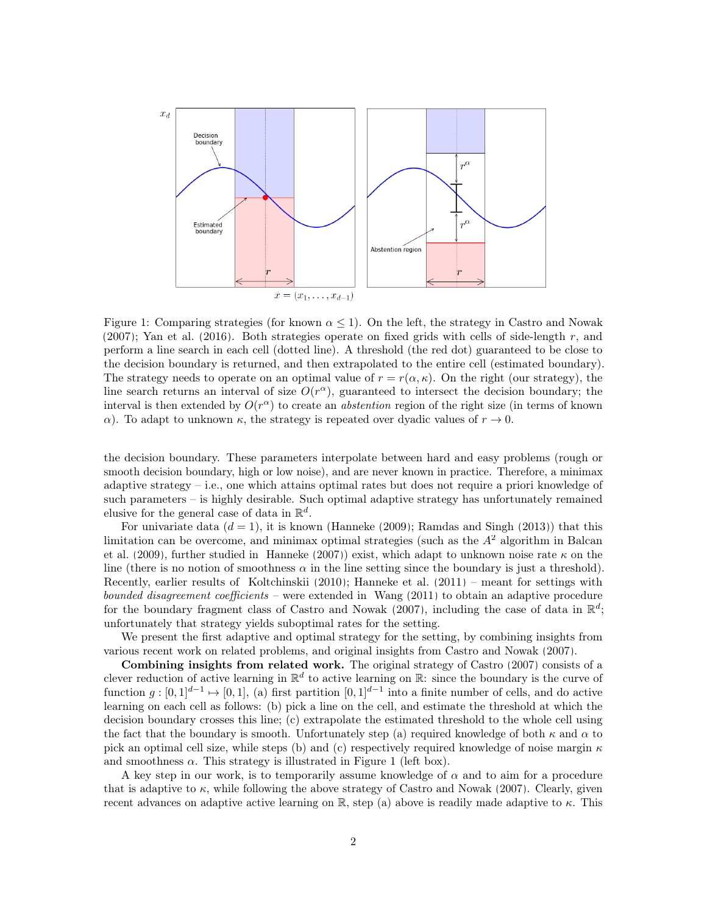<span id="page-1-0"></span>

Figure 1: Comparing strategies (for known  $\alpha \leq 1$ ). On the left, the strategy in [Castro and Nowak](#page-12-0)  $(2007)$ ; [Yan et al.](#page-13-1)  $(2016)$ . Both strategies operate on fixed grids with cells of side-length r, and perform a line search in each cell (dotted line). A threshold (the red dot) guaranteed to be close to the decision boundary is returned, and then extrapolated to the entire cell (estimated boundary). The strategy needs to operate on an optimal value of  $r = r(\alpha, \kappa)$ . On the right (our strategy), the line search returns an interval of size  $O(r^{\alpha})$ , guaranteed to intersect the decision boundary; the interval is then extended by  $O(r^{\alpha})$  to create an *abstention* region of the right size (in terms of known α). To adapt to unknown  $κ$ , the strategy is repeated over dyadic values of  $r \to 0$ .

the decision boundary. These parameters interpolate between hard and easy problems (rough or smooth decision boundary, high or low noise), and are never known in practice. Therefore, a minimax adaptive strategy – i.e., one which attains optimal rates but does not require a priori knowledge of such parameters – is highly desirable. Such optimal adaptive strategy has unfortunately remained elusive for the general case of data in  $\mathbb{R}^d$ .

For univariate data  $(d = 1)$ , it is known [\(Hanneke](#page-12-2) [\(2009\)](#page-12-2); [Ramdas and Singh](#page-13-2) [\(2013\)](#page-13-2)) that this limitation can be overcome, and minimax optimal strategies (such as the  $A<sup>2</sup>$  algorithm in [Balcan](#page-12-5) [et al.](#page-12-5) [\(2009\)](#page-12-5), further studied in [Hanneke](#page-12-6) [\(2007\)](#page-12-6)) exist, which adapt to unknown noise rate  $\kappa$  on the line (there is no notion of smoothness  $\alpha$  in the line setting since the boundary is just a threshold). Recently, earlier results of [Koltchinskii](#page-12-3) [\(2010\)](#page-12-3); [Hanneke et al.](#page-12-7) [\(2011\)](#page-12-7) – meant for settings with bounded disagreement coefficients – were extended in [Wang](#page-13-3) [\(2011\)](#page-13-3) to obtain an adaptive procedure for the boundary fragment class of [Castro and Nowak](#page-12-0) [\(2007\)](#page-12-0), including the case of data in  $\mathbb{R}^d$ ; unfortunately that strategy yields suboptimal rates for the setting.

We present the first adaptive and optimal strategy for the setting, by combining insights from various recent work on related problems, and original insights from [Castro and Nowak](#page-12-0) [\(2007\)](#page-12-0).

Combining insights from related work. The original strategy of [Castro](#page-12-8) [\(2007\)](#page-12-8) consists of a clever reduction of active learning in  $\mathbb{R}^d$  to active learning on  $\mathbb{R}$ : since the boundary is the curve of function  $g: [0,1]^{d-1} \mapsto [0,1]$ , (a) first partition  $[0,1]^{d-1}$  into a finite number of cells, and do active learning on each cell as follows: (b) pick a line on the cell, and estimate the threshold at which the decision boundary crosses this line; (c) extrapolate the estimated threshold to the whole cell using the fact that the boundary is smooth. Unfortunately step (a) required knowledge of both  $\kappa$  and  $\alpha$  to pick an optimal cell size, while steps (b) and (c) respectively required knowledge of noise margin  $\kappa$ and smoothness  $\alpha$ . This strategy is illustrated in Figure [1](#page-1-0) (left box).

A key step in our work, is to temporarily assume knowledge of  $\alpha$  and to aim for a procedure that is adaptive to  $\kappa$ , while following the above strategy of [Castro and Nowak](#page-12-0) [\(2007\)](#page-12-0). Clearly, given recent advances on adaptive active learning on  $\mathbb{R}$ , step (a) above is readily made adaptive to  $\kappa$ . This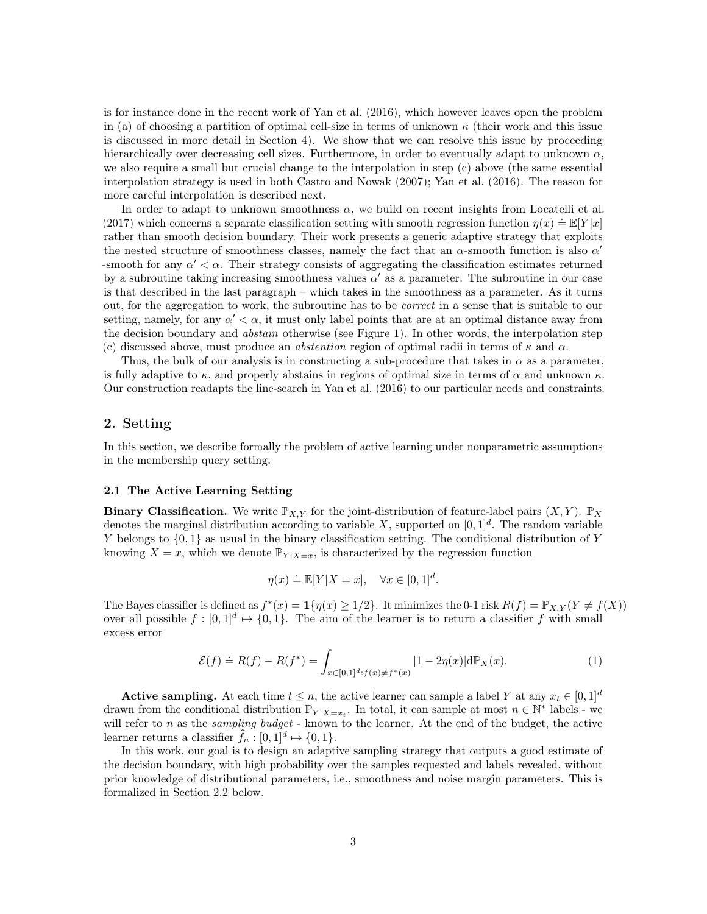is for instance done in the recent work of [Yan et al.](#page-13-1) [\(2016\)](#page-13-1), which however leaves open the problem in (a) of choosing a partition of optimal cell-size in terms of unknown  $\kappa$  (their work and this issue is discussed in more detail in Section [4\)](#page-7-0). We show that we can resolve this issue by proceeding hierarchically over decreasing cell sizes. Furthermore, in order to eventually adapt to unknown  $\alpha$ , we also require a small but crucial change to the interpolation in step (c) above (the same essential interpolation strategy is used in both [Castro and Nowak](#page-12-0) [\(2007\)](#page-12-0); [Yan et al.](#page-13-1) [\(2016\)](#page-13-1). The reason for more careful interpolation is described next.

In order to adapt to unknown smoothness  $\alpha$ , we build on recent insights from [Locatelli et al.](#page-12-9) [\(2017\)](#page-12-9) which concerns a separate classification setting with smooth regression function  $\eta(x) \doteq \mathbb{E}[Y|x]$ rather than smooth decision boundary. Their work presents a generic adaptive strategy that exploits the nested structure of smoothness classes, namely the fact that an  $\alpha$ -smooth function is also  $\alpha'$ -smooth for any  $\alpha' < \alpha$ . Their strategy consists of aggregating the classification estimates returned by a subroutine taking increasing smoothness values  $\alpha'$  as a parameter. The subroutine in our case is that described in the last paragraph – which takes in the smoothness as a parameter. As it turns out, for the aggregation to work, the subroutine has to be correct in a sense that is suitable to our setting, namely, for any  $\alpha' < \alpha$ , it must only label points that are at an optimal distance away from the decision boundary and *abstain* otherwise (see Figure [1\)](#page-1-0). In other words, the interpolation step (c) discussed above, must produce an *abstention* region of optimal radii in terms of  $\kappa$  and  $\alpha$ .

Thus, the bulk of our analysis is in constructing a sub-procedure that takes in  $\alpha$  as a parameter, is fully adaptive to  $\kappa$ , and properly abstains in regions of optimal size in terms of  $\alpha$  and unknown  $\kappa$ . Our construction readapts the line-search in [Yan et al.](#page-13-1) [\(2016\)](#page-13-1) to our particular needs and constraints.

## 2. Setting

In this section, we describe formally the problem of active learning under nonparametric assumptions in the membership query setting.

#### 2.1 The Active Learning Setting

**Binary Classification.** We write  $\mathbb{P}_{X,Y}$  for the joint-distribution of feature-label pairs  $(X, Y)$ .  $\mathbb{P}_X$ denotes the marginal distribution according to variable X, supported on  $[0,1]^d$ . The random variable Y belongs to  $\{0,1\}$  as usual in the binary classification setting. The conditional distribution of Y knowing  $X = x$ , which we denote  $\mathbb{P}_{Y \mid X=x}$ , is characterized by the regression function

$$
\eta(x) \doteq \mathbb{E}[Y|X=x], \quad \forall x \in [0,1]^d.
$$

The Bayes classifier is defined as  $f^*(x) = \mathbf{1}\{\eta(x) \geq 1/2\}$ . It minimizes the 0-1 risk  $R(f) = \mathbb{P}_{X,Y}(Y \neq f(X))$ over all possible  $f : [0,1]^d \mapsto \{0,1\}$ . The aim of the learner is to return a classifier f with small excess error

$$
\mathcal{E}(f) \doteq R(f) - R(f^*) = \int_{x \in [0,1]^d : f(x) \neq f^*(x)} |1 - 2\eta(x)| d\mathbb{P}_X(x). \tag{1}
$$

**Active sampling.** At each time  $t \leq n$ , the active learner can sample a label Y at any  $x_t \in [0, 1]^d$ drawn from the conditional distribution  $\mathbb{P}_{Y|X=x_t}$ . In total, it can sample at most  $n \in \mathbb{N}^*$  labels - we will refer to  $n$  as the *sampling budget* - known to the learner. At the end of the budget, the active learner returns a classifier  $f_n : [0,1]^d \mapsto \{0,1\}.$ 

In this work, our goal is to design an adaptive sampling strategy that outputs a good estimate of the decision boundary, with high probability over the samples requested and labels revealed, without prior knowledge of distributional parameters, i.e., smoothness and noise margin parameters. This is formalized in Section [2.2](#page-3-0) below.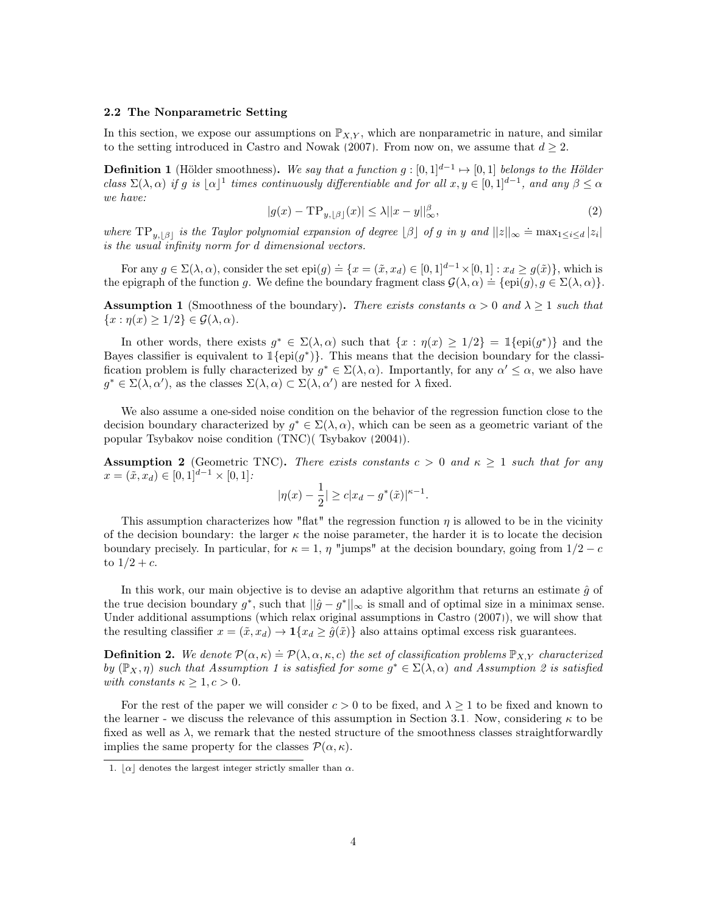#### <span id="page-3-0"></span>2.2 The Nonparametric Setting

In this section, we expose our assumptions on  $\mathbb{P}_{X,Y}$ , which are nonparametric in nature, and similar to the setting introduced in [Castro and Nowak](#page-12-0) [\(2007\)](#page-12-0). From now on, we assume that  $d \geq 2$ .

**Definition 1** (Hölder smoothness). We say that a function  $g: [0,1]^{d-1} \mapsto [0,1]$  belongs to the Hölder class  $\Sigma(\lambda, \alpha)$  if g is  $|\alpha|^1$  $|\alpha|^1$  times continuously differentiable and for all  $x, y \in [0, 1]^{d-1}$ , and any  $\beta \leq \alpha$ we have:

$$
|g(x) - \mathrm{TP}_{y, \lfloor \beta \rfloor}(x)| \le \lambda ||x - y||_{\infty}^{\beta},\tag{2}
$$

where  $TP_{y, [\beta]}$  is the Taylor polynomial expansion of degree  $[\beta]$  of g in y and  $||z||_{\infty} \doteq \max_{1 \leq i \leq d} |z_i|$ is the usual infinity norm for d dimensional vectors.

For any  $g \in \Sigma(\lambda, \alpha)$ , consider the set  $epi(g) \doteq \{x = (\tilde{x}, x_d) \in [0, 1]^{d-1} \times [0, 1] : x_d \ge g(\tilde{x})\}$ , which is the epigraph of the function g. We define the boundary fragment class  $\mathcal{G}(\lambda, \alpha) = \{epi(g), g \in \Sigma(\lambda, \alpha)\}.$ 

<span id="page-3-3"></span>**Assumption 1** (Smoothness of the boundary). There exists constants  $\alpha > 0$  and  $\lambda \geq 1$  such that  $\{x : \eta(x) \geq 1/2\} \in \mathcal{G}(\lambda, \alpha).$ 

In other words, there exists  $g^* \in \Sigma(\lambda, \alpha)$  such that  $\{x : \eta(x) \geq 1/2\} = \mathbb{1}\{\text{epi}(g^*)\}$  and the Bayes classifier is equivalent to  $1\{\text{epi}(g^*)\}$ . This means that the decision boundary for the classification problem is fully characterized by  $g^* \in \Sigma(\lambda, \alpha)$ . Importantly, for any  $\alpha' \leq \alpha$ , we also have  $g^* \in \Sigma(\lambda, \alpha')$ , as the classes  $\Sigma(\lambda, \alpha) \subset \Sigma(\lambda, \alpha')$  are nested for  $\lambda$  fixed.

We also assume a one-sided noise condition on the behavior of the regression function close to the decision boundary characterized by  $g^* \in \Sigma(\lambda, \alpha)$ , which can be seen as a geometric variant of the popular Tsybakov noise condition (TNC)( [Tsybakov](#page-13-0) [\(2004\)](#page-13-0)).

<span id="page-3-2"></span>**Assumption 2** (Geometric TNC). There exists constants  $c > 0$  and  $\kappa \ge 1$  such that for any  $x = (\tilde{x}, x_d) \in [0, 1]^{d-1} \times [0, 1]$ :

$$
|\eta(x) - \frac{1}{2}| \ge c|x_d - g^*(\tilde{x})|^{\kappa - 1}.
$$

This assumption characterizes how "flat" the regression function  $\eta$  is allowed to be in the vicinity of the decision boundary: the larger  $\kappa$  the noise parameter, the harder it is to locate the decision boundary precisely. In particular, for  $\kappa = 1$ ,  $\eta$  "jumps" at the decision boundary, going from  $1/2 - c$ to  $1/2 + c$ .

In this work, our main objective is to devise an adaptive algorithm that returns an estimate  $\hat{g}$  of the true decision boundary  $g^*$ , such that  $\|\hat{g} - g^*\|_{\infty}$  is small and of optimal size in a minimax sense. Under additional assumptions (which relax original assumptions in [Castro](#page-12-8) [\(2007\)](#page-12-8)), we will show that the resulting classifier  $x = (\tilde{x}, x_d) \rightarrow 1\{x_d \ge \hat{g}(\tilde{x})\}$  also attains optimal excess risk guarantees.

**Definition 2.** We denote  $\mathcal{P}(\alpha,\kappa) \doteq \mathcal{P}(\lambda,\alpha,\kappa,c)$  the set of classification problems  $\mathbb{P}_{X,Y}$  characterized by  $(\mathbb{P}_X, \eta)$  such that Assumption 1 is satisfied for some  $g^* \in \Sigma(\lambda, \alpha)$  and Assumption 2 is satisfied with constants  $\kappa \geq 1, c > 0$ .

For the rest of the paper we will consider  $c > 0$  to be fixed, and  $\lambda \geq 1$  to be fixed and known to the learner - we discuss the relevance of this assumption in Section [3.1.](#page-4-0) Now, considering  $\kappa$  to be fixed as well as  $\lambda$ , we remark that the nested structure of the smoothness classes straightforwardly implies the same property for the classes  $\mathcal{P}(\alpha,\kappa)$ .

<span id="page-3-1"></span><sup>1.</sup>  $|\alpha|$  denotes the largest integer strictly smaller than  $\alpha$ .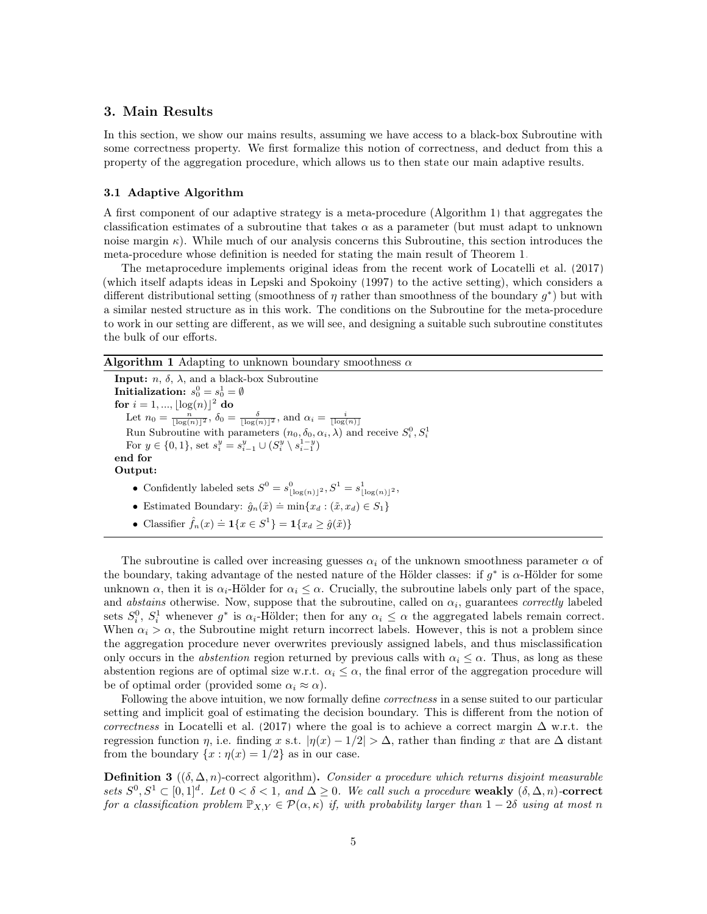## 3. Main Results

In this section, we show our mains results, assuming we have access to a black-box Subroutine with some correctness property. We first formalize this notion of correctness, and deduct from this a property of the aggregation procedure, which allows us to then state our main adaptive results.

### <span id="page-4-0"></span>3.1 Adaptive Algorithm

A first component of our adaptive strategy is a meta-procedure (Algorithm [1\)](#page-4-1) that aggregates the classification estimates of a subroutine that takes  $\alpha$  as a parameter (but must adapt to unknown noise margin  $\kappa$ ). While much of our analysis concerns this Subroutine, this section introduces the meta-procedure whose definition is needed for stating the main result of Theorem [1.](#page-5-0)

The metaprocedure implements original ideas from the recent work of [Locatelli et al.](#page-12-9) [\(2017\)](#page-12-9) (which itself adapts ideas in [Lepski and Spokoiny](#page-12-10) [\(1997\)](#page-12-10) to the active setting), which considers a different distributional setting (smoothness of  $\eta$  rather than smoothness of the boundary  $g^*$ ) but with a similar nested structure as in this work. The conditions on the Subroutine for the meta-procedure to work in our setting are different, as we will see, and designing a suitable such subroutine constitutes the bulk of our efforts.

<span id="page-4-1"></span>Algorithm 1 Adapting to unknown boundary smoothness  $\alpha$ 

**Input:**  $n, \delta, \lambda$ , and a black-box Subroutine  ${\bf Initalization:}~~s^0_0=s^1_0=\emptyset$ for  $i = 1, ..., |\log(n)|^2$  do Let  $n_0 = \frac{n}{\lfloor \log(n) \rfloor^2}$ ,  $\delta_0 = \frac{\delta}{\lfloor \log(n) \rfloor^2}$ , and  $\alpha_i = \frac{i}{\lfloor \log(n) \rfloor}$ Run Subroutine with parameters  $(n_0, \delta_0, \alpha_i, \lambda)$  and receive  $S_i^0, S_i^1$ For  $y \in \{0, 1\}$ , set  $s_i^y = s_{i-1}^y \cup (S_i^y \setminus s_{i-1}^{1-y})$ end for Output: • Confidently labeled sets  $S^0 = s_{\lfloor \log(n) \rfloor^2}^0, S^1 = s_{\lfloor \log(n) \rfloor^2}^1$ ,

- Estimated Boundary:  $\hat{g}_n(\tilde{x}) \doteq \min\{x_d : (\tilde{x}, x_d) \in S_1\}$
- Classifier  $\hat{f}_n(x) \doteq \mathbf{1}\{x \in S^1\} = \mathbf{1}\{x_d \geq \hat{g}(\tilde{x})\}$

The subroutine is called over increasing guesses  $\alpha_i$  of the unknown smoothness parameter  $\alpha$  of the boundary, taking advantage of the nested nature of the Hölder classes: if  $g^*$  is  $\alpha$ -Hölder for some unknown  $\alpha$ , then it is  $\alpha_i$ -Hölder for  $\alpha_i \leq \alpha$ . Crucially, the subroutine labels only part of the space, and *abstains* otherwise. Now, suppose that the subroutine, called on  $\alpha_i$ , guarantees *correctly* labeled sets  $S_i^0$ ,  $S_i^1$  whenever  $g^*$  is  $\alpha_i$ -Hölder; then for any  $\alpha_i \leq \alpha$  the aggregated labels remain correct. When  $\alpha_i > \alpha$ , the Subroutine might return incorrect labels. However, this is not a problem since the aggregation procedure never overwrites previously assigned labels, and thus misclassification only occurs in the *abstention* region returned by previous calls with  $\alpha_i \leq \alpha$ . Thus, as long as these abstention regions are of optimal size w.r.t.  $\alpha_i \leq \alpha$ , the final error of the aggregation procedure will be of optimal order (provided some  $\alpha_i \approx \alpha$ ).

Following the above intuition, we now formally define *correctness* in a sense suited to our particular setting and implicit goal of estimating the decision boundary. This is different from the notion of correctness in [Locatelli et al.](#page-12-9) [\(2017\)](#page-12-9) where the goal is to achieve a correct margin  $\Delta$  w.r.t. the regression function  $\eta$ , i.e. finding x s.t.  $|\eta(x) - 1/2| > \Delta$ , rather than finding x that are  $\Delta$  distant from the boundary  $\{x : \eta(x) = 1/2\}$  as in our case.

<span id="page-4-2"></span>**Definition 3** ( $(\delta, \Delta, n)$ -correct algorithm). Consider a procedure which returns disjoint measurable sets  $S^0, S^1 \subset [0,1]^d$ . Let  $0 < \delta < 1$ , and  $\Delta \geq 0$ . We call such a procedure weakly  $(\delta, \Delta, n)$ -correct for a classification problem  $\mathbb{P}_{X,Y} \in \mathcal{P}(\alpha, \kappa)$  if, with probability larger than  $1 - 2\delta$  using at most n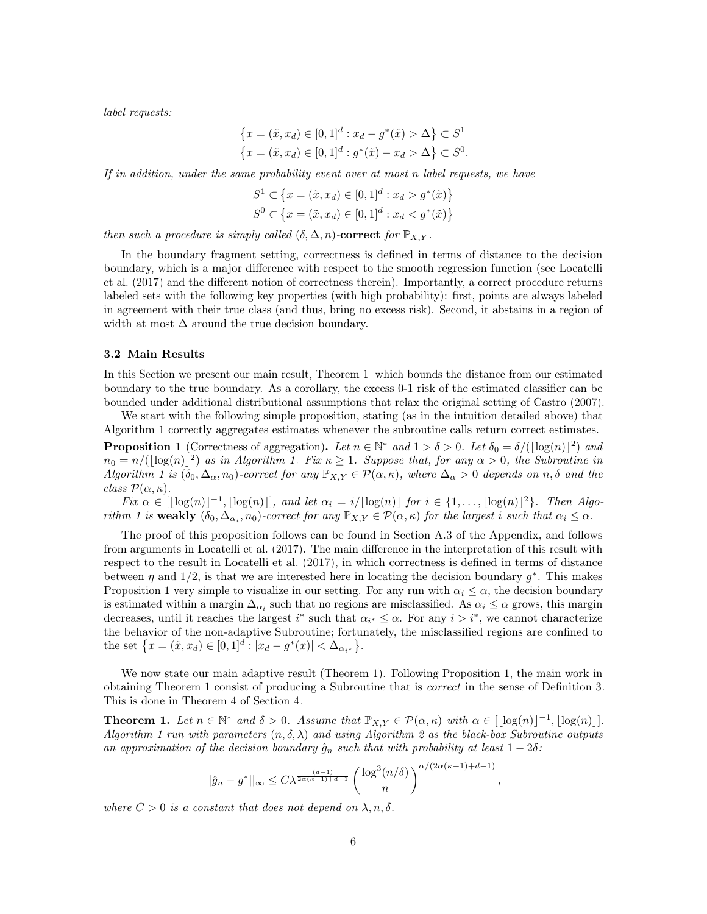label requests:

$$
\{x = (\tilde{x}, x_d) \in [0, 1]^d : x_d - g^*(\tilde{x}) > \Delta\} \subset S^1
$$
  

$$
\{x = (\tilde{x}, x_d) \in [0, 1]^d : g^*(\tilde{x}) - x_d > \Delta\} \subset S^0.
$$

If in addition, under the same probability event over at most n label requests, we have

$$
S^{1} \subset \{x = (\tilde{x}, x_{d}) \in [0, 1]^{d} : x_{d} > g^{*}(\tilde{x})\}
$$
  

$$
S^{0} \subset \{x = (\tilde{x}, x_{d}) \in [0, 1]^{d} : x_{d} < g^{*}(\tilde{x})\}
$$

then such a procedure is simply called  $(\delta, \Delta, n)$ -correct for  $\mathbb{P}_{X,Y}$ .

In the boundary fragment setting, correctness is defined in terms of distance to the decision boundary, which is a major difference with respect to the smooth regression function (see [Locatelli](#page-12-9) [et al.](#page-12-9) [\(2017\)](#page-12-9) and the different notion of correctness therein). Importantly, a correct procedure returns labeled sets with the following key properties (with high probability): first, points are always labeled in agreement with their true class (and thus, bring no excess risk). Second, it abstains in a region of width at most  $\Delta$  around the true decision boundary.

#### 3.2 Main Results

In this Section we present our main result, Theorem [1,](#page-5-1) which bounds the distance from our estimated boundary to the true boundary. As a corollary, the excess 0-1 risk of the estimated classifier can be bounded under additional distributional assumptions that relax the original setting of [Castro](#page-12-8) [\(2007\)](#page-12-8).

We start with the following simple proposition, stating (as in the intuition detailed above) that Algorithm [1](#page-4-1) correctly aggregates estimates whenever the subroutine calls return correct estimates.

<span id="page-5-0"></span>**Proposition 1** (Correctness of aggregation). Let  $n \in \mathbb{N}^*$  and  $1 > \delta > 0$ . Let  $\delta_0 = \delta/(\lfloor \log(n) \rfloor^2)$  and  $n_0 = n/(\lfloor \log(n) \rfloor^2)$  as in Algorithm [1.](#page-4-1) Fix  $\kappa \geq 1$ . Suppose that, for any  $\alpha > 0$ , the Subroutine in Algorithm [1](#page-4-1) is  $(\delta_0, \Delta_\alpha, n_0)$ -correct for any  $\mathbb{P}_{X,Y} \in \mathcal{P}(\alpha, \kappa)$ , where  $\Delta_\alpha > 0$  depends on  $n, \delta$  and the class  $\mathcal{P}(\alpha,\kappa)$ .

Fix  $\alpha \in [\log(n)]^{-1}, \lfloor \log(n) \rfloor$ , and let  $\alpha_i = i/[\log(n)]$  for  $i \in \{1, ..., \lfloor \log(n) \rfloor^2\}$ . Then Algo-rithm [1](#page-4-1) is weakly  $(\delta_0, \Delta_{\alpha_i}, n_0)$ -correct for any  $\mathbb{P}_{X,Y} \in \mathcal{P}(\alpha, \kappa)$  for the largest i such that  $\alpha_i \leq \alpha$ .

The proof of this proposition follows can be found in Section [A.3](#page-19-0) of the Appendix, and follows from arguments in [Locatelli et al.](#page-12-9) [\(2017\)](#page-12-9). The main difference in the interpretation of this result with respect to the result in [Locatelli et al.](#page-12-9) [\(2017\)](#page-12-9), in which correctness is defined in terms of distance between  $\eta$  and 1/2, is that we are interested here in locating the decision boundary  $g^*$ . This makes Proposition [1](#page-5-0) very simple to visualize in our setting. For any run with  $\alpha_i \leq \alpha$ , the decision boundary is estimated within a margin  $\Delta_{\alpha_i}$  such that no regions are misclassified. As  $\alpha_i \leq \alpha$  grows, this margin decreases, until it reaches the largest  $i^*$  such that  $\alpha_{i^*} \leq \alpha$ . For any  $i > i^*$ , we cannot characterize the behavior of the non-adaptive Subroutine; fortunately, the misclassified regions are confined to the set  $\{x = (\tilde{x}, x_d) \in [0, 1]^d : |x_d - g^*(x)| < \Delta_{\alpha_{i^*}}\}.$ 

We now state our main adaptive result (Theorem [1\)](#page-5-1). Following Proposition [1,](#page-5-0) the main work in obtaining Theorem [1](#page-5-1) consist of producing a Subroutine that is correct in the sense of Definition [3.](#page-4-2) This is done in Theorem [4](#page-9-0) of Section [4.](#page-7-0)

<span id="page-5-1"></span>**Theorem 1.** Let  $n \in \mathbb{N}^*$  and  $\delta > 0$ . Assume that  $\mathbb{P}_{X,Y} \in \mathcal{P}(\alpha,\kappa)$  with  $\alpha \in [\lfloor \log(n) \rfloor^{-1}, \lfloor \log(n) \rfloor]$ . Algorithm [1](#page-4-1) run with parameters  $(n, \delta, \lambda)$  and using Algorithm [2](#page-8-0) as the black-box Subroutine outputs an approximation of the decision boundary  $\hat{g}_n$  such that with probability at least  $1 - 2\delta$ :

$$
||\hat{g}_n - g^*||_{\infty} \le C\lambda^{\frac{(d-1)}{2\alpha(\kappa-1)+d-1}} \left(\frac{\log^3(n/\delta)}{n}\right)^{\alpha/(2\alpha(\kappa-1)+d-1)}
$$

,

where  $C > 0$  is a constant that does not depend on  $\lambda, n, \delta$ .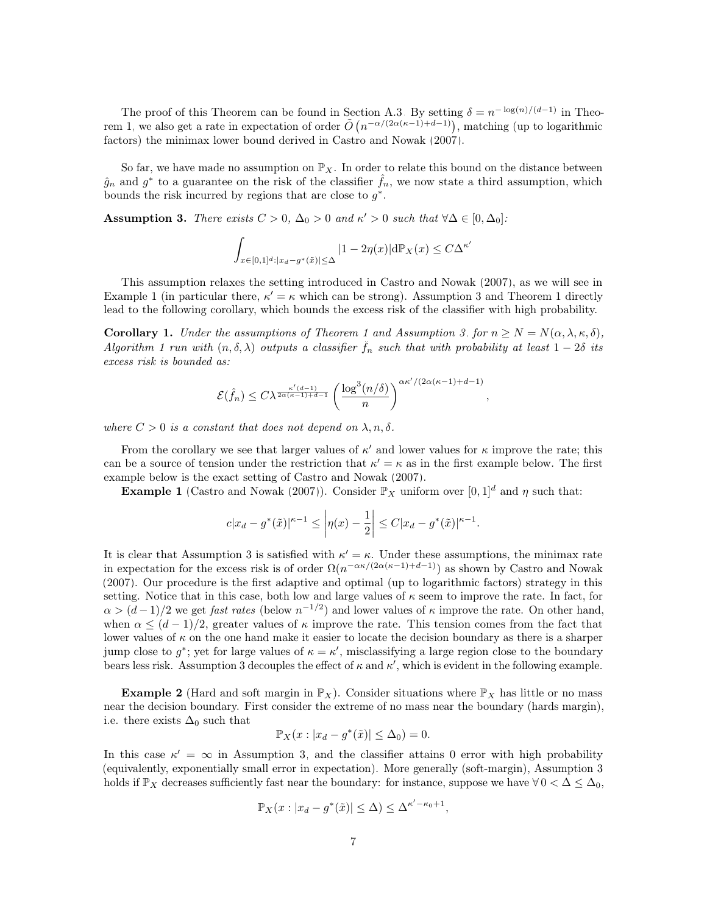The proof of this Theorem can be found in Section [A.3.](#page-19-0) By setting  $\delta = n^{-\log(n)/(d-1)}$  in Theo-rem [1,](#page-5-1) we also get a rate in expectation of order  $\tilde{O}(n^{-\alpha/(2\alpha(\kappa-1)+d-1)})$ , matching (up to logarithmic factors) the minimax lower bound derived in [Castro and Nowak](#page-12-0) [\(2007\)](#page-12-0).

So far, we have made no assumption on  $\mathbb{P}_X$ . In order to relate this bound on the distance between  $\hat{g}_n$  and  $g^*$  to a guarantee on the risk of the classifier  $\hat{f}_n$ , we now state a third assumption, which bounds the risk incurred by regions that are close to  $g^*$ .

<span id="page-6-0"></span>Assumption 3. There exists  $C > 0$ ,  $\Delta_0 > 0$  and  $\kappa' > 0$  such that  $\forall \Delta \in [0, \Delta_0]$ :

$$
\int_{x \in [0,1]^d : |x_d - g^*(\tilde{x})| \le \Delta} |1 - 2\eta(x)| d\mathbb{P}_X(x) \le C\Delta^{\kappa'}
$$

This assumption relaxes the setting introduced in [Castro and Nowak](#page-12-0) [\(2007\)](#page-12-0), as we will see in Example [1](#page-5-1) (in particular there,  $\kappa' = \kappa$  which can be strong). Assumption [3](#page-6-0) and Theorem 1 directly lead to the following corollary, which bounds the excess risk of the classifier with high probability.

<span id="page-6-1"></span>**Corollary [1](#page-5-1).** Under the assumptions of Theorem 1 and Assumption [3,](#page-6-0) for  $n \ge N = N(\alpha, \lambda, \kappa, \delta)$ , Algorithm [1](#page-4-1) run with  $(n, \delta, \lambda)$  outputs a classifier  $f_n$  such that with probability at least  $1-2\delta$  its excess risk is bounded as:

$$
\mathcal{E}(\hat{f}_n) \le C\lambda^{\frac{\kappa'(d-1)}{2\alpha(\kappa-1)+d-1}} \left(\frac{\log^3(n/\delta)}{n}\right)^{\alpha\kappa'/(2\alpha(\kappa-1)+d-1)}
$$

,

where  $C > 0$  is a constant that does not depend on  $\lambda, n, \delta$ .

From the corollary we see that larger values of  $\kappa'$  and lower values for  $\kappa$  improve the rate; this can be a source of tension under the restriction that  $\kappa' = \kappa$  as in the first example below. The first example below is the exact setting of [Castro and Nowak](#page-12-0) [\(2007\)](#page-12-0).

**Example 1** [\(Castro and Nowak](#page-12-0) [\(2007\)](#page-12-0)). Consider  $\mathbb{P}_X$  uniform over  $[0, 1]^d$  and  $\eta$  such that:

$$
c|x_d - g^*(\tilde{x})|^{\kappa - 1} \le \left| \eta(x) - \frac{1}{2} \right| \le C|x_d - g^*(\tilde{x})|^{\kappa - 1}.
$$

It is clear that Assumption [3](#page-6-0) is satisfied with  $\kappa' = \kappa$ . Under these assumptions, the minimax rate in expectation for the excess risk is of order  $\Omega(n^{-\alpha\kappa/(2\alpha(\kappa-1)+d-1)})$  as shown by [Castro and Nowak](#page-12-0) [\(2007\)](#page-12-0). Our procedure is the first adaptive and optimal (up to logarithmic factors) strategy in this setting. Notice that in this case, both low and large values of  $\kappa$  seem to improve the rate. In fact, for  $\alpha > (d-1)/2$  we get *fast rates* (below  $n^{-1/2}$ ) and lower values of  $\kappa$  improve the rate. On other hand, when  $\alpha \leq (d-1)/2$ , greater values of  $\kappa$  improve the rate. This tension comes from the fact that lower values of  $\kappa$  on the one hand make it easier to locate the decision boundary as there is a sharper jump close to  $g^*$ ; yet for large values of  $\kappa = \kappa'$ , misclassifying a large region close to the boundary bears less risk. Assumption [3](#page-6-0) decouples the effect of  $\kappa$  and  $\kappa'$ , which is evident in the following example.

**Example 2** (Hard and soft margin in  $\mathbb{P}_X$ ). Consider situations where  $\mathbb{P}_X$  has little or no mass near the decision boundary. First consider the extreme of no mass near the boundary (hards margin), i.e. there exists  $\Delta_0$  such that

$$
\mathbb{P}_X(x: |x_d - g^*(\tilde{x})| \le \Delta_0) = 0.
$$

In this case  $\kappa' = \infty$  in Assumption [3,](#page-6-0) and the classifier attains 0 error with high probability (equivalently, exponentially small error in expectation). More generally (soft-margin), Assumption [3](#page-6-0) holds if  $\mathbb{P}_X$  decreases sufficiently fast near the boundary: for instance, suppose we have  $\forall 0 < \Delta \leq \Delta_0$ ,

$$
\mathbb{P}_X(x: |x_d - g^*(\tilde{x})| \leq \Delta) \leq \Delta^{\kappa' - \kappa_0 + 1},
$$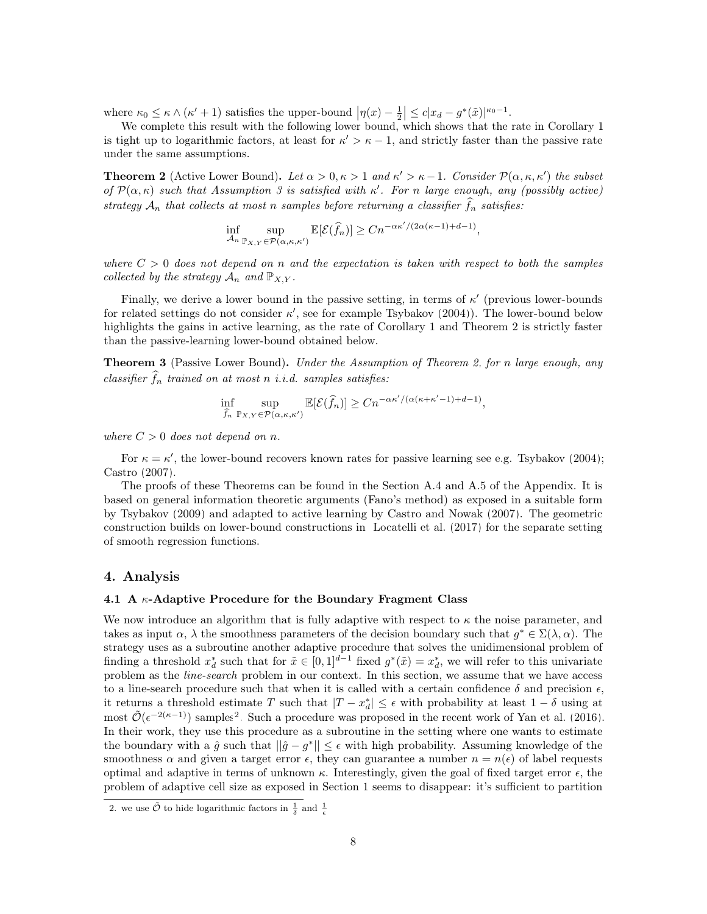where  $\kappa_0 \leq \kappa \wedge (\kappa' + 1)$  satisfies the upper-bound  $|\eta(x) - \frac{1}{2}| \leq c|x_d - g^*(\tilde{x})|^{\kappa_0 - 1}$ .

We complete this result with the following lower bound, which shows that the rate in Corollary [1](#page-6-1) is tight up to logarithmic factors, at least for  $\kappa' > \kappa - 1$ , and strictly faster than the passive rate under the same assumptions.

<span id="page-7-1"></span>**Theorem 2** (Active Lower Bound). Let  $\alpha > 0, \kappa > 1$  and  $\kappa' > \kappa - 1$ . Consider  $\mathcal{P}(\alpha, \kappa, \kappa')$  the subset of  $\mathcal{P}(\alpha,\kappa)$  such that Assumption [3](#page-6-0) is satisfied with  $\kappa'$ . For n large enough, any (possibly active) strategy  $A_n$  that collects at most n samples before returning a classifier  $f_n$  satisfies:

$$
\inf_{\mathcal{A}_n} \sup_{\mathbb{P}_{X,Y} \in \mathcal{P}(\alpha,\kappa,\kappa')} \mathbb{E}[\mathcal{E}(\widehat{f}_n)] \geq Cn^{-\alpha\kappa'/(2\alpha(\kappa-1)+d-1)},
$$

where  $C > 0$  does not depend on n and the expectation is taken with respect to both the samples collected by the strategy  $A_n$  and  $\mathbb{P}_{X,Y}$ .

Finally, we derive a lower bound in the passive setting, in terms of  $\kappa'$  (previous lower-bounds for related settings do not consider  $\kappa'$ , see for example [Tsybakov](#page-13-0) [\(2004\)](#page-13-0)). The lower-bound below highlights the gains in active learning, as the rate of Corollary [1](#page-6-1) and Theorem [2](#page-7-1) is strictly faster than the passive-learning lower-bound obtained below.

<span id="page-7-3"></span>**Theorem 3** (Passive Lower Bound). Under the Assumption of Theorem [2,](#page-7-1) for n large enough, any classifier  $f_n$  trained on at most n i.i.d. samples satisfies:

$$
\inf_{\widehat{f}_n} \sup_{\mathbb{P}_{X,Y} \in \mathcal{P}(\alpha,\kappa,\kappa')} \mathbb{E}[\mathcal{E}(\widehat{f}_n)] \geq Cn^{-\alpha\kappa'/(\alpha(\kappa+\kappa'-1)+d-1)},
$$

where  $C > 0$  does not depend on n.

For  $\kappa = \kappa'$ , the lower-bound recovers known rates for passive learning see e.g. [Tsybakov](#page-13-0) [\(2004\)](#page-13-0); [Castro](#page-12-8) [\(2007\)](#page-12-8).

The proofs of these Theorems can be found in the Section [A.4](#page-20-0) and [A.5](#page-24-0) of the Appendix. It is based on general information theoretic arguments (Fano's method) as exposed in a suitable form by [Tsybakov](#page-13-4) [\(2009\)](#page-13-4) and adapted to active learning by [Castro and Nowak](#page-12-0) [\(2007\)](#page-12-0). The geometric construction builds on lower-bound constructions in [Locatelli et al.](#page-12-9) [\(2017\)](#page-12-9) for the separate setting of smooth regression functions.

## <span id="page-7-0"></span>4. Analysis

#### 4.1 A  $\kappa$ -Adaptive Procedure for the Boundary Fragment Class

We now introduce an algorithm that is fully adaptive with respect to  $\kappa$  the noise parameter, and takes as input  $\alpha$ ,  $\lambda$  the smoothness parameters of the decision boundary such that  $g^* \in \Sigma(\lambda, \alpha)$ . The strategy uses as a subroutine another adaptive procedure that solves the unidimensional problem of finding a threshold  $x_d^*$  such that for  $\tilde{x} \in [0,1]^{d-1}$  fixed  $g^*(\tilde{x}) = x_d^*$ , we will refer to this univariate problem as the line-search problem in our context. In this section, we assume that we have access to a line-search procedure such that when it is called with a certain confidence  $\delta$  and precision  $\epsilon$ , it returns a threshold estimate T such that  $|T - x_d^*| \leq \epsilon$  with probability at least  $1 - \delta$  using at most  $\tilde{\mathcal{O}}(\epsilon^{-2(\kappa-1)})$  $\tilde{\mathcal{O}}(\epsilon^{-2(\kappa-1)})$  $\tilde{\mathcal{O}}(\epsilon^{-2(\kappa-1)})$  samples<sup>2</sup>. Such a procedure was proposed in the recent work of [Yan et al.](#page-13-1) [\(2016\)](#page-13-1). In their work, they use this procedure as a subroutine in the setting where one wants to estimate the boundary with a  $\hat{g}$  such that  $||\hat{g} - g^*|| \leq \epsilon$  with high probability. Assuming knowledge of the smoothness  $\alpha$  and given a target error  $\epsilon$ , they can guarantee a number  $n = n(\epsilon)$  of label requests optimal and adaptive in terms of unknown  $\kappa$ . Interestingly, given the goal of fixed target error  $\epsilon$ , the problem of adaptive cell size as exposed in Section [1](#page-0-0) seems to disappear: it's sufficient to partition

<span id="page-7-2"></span><sup>2.</sup> we use  $\tilde{\mathcal{O}}$  to hide logarithmic factors in  $\frac{1}{\delta}$  and  $\frac{1}{\epsilon}$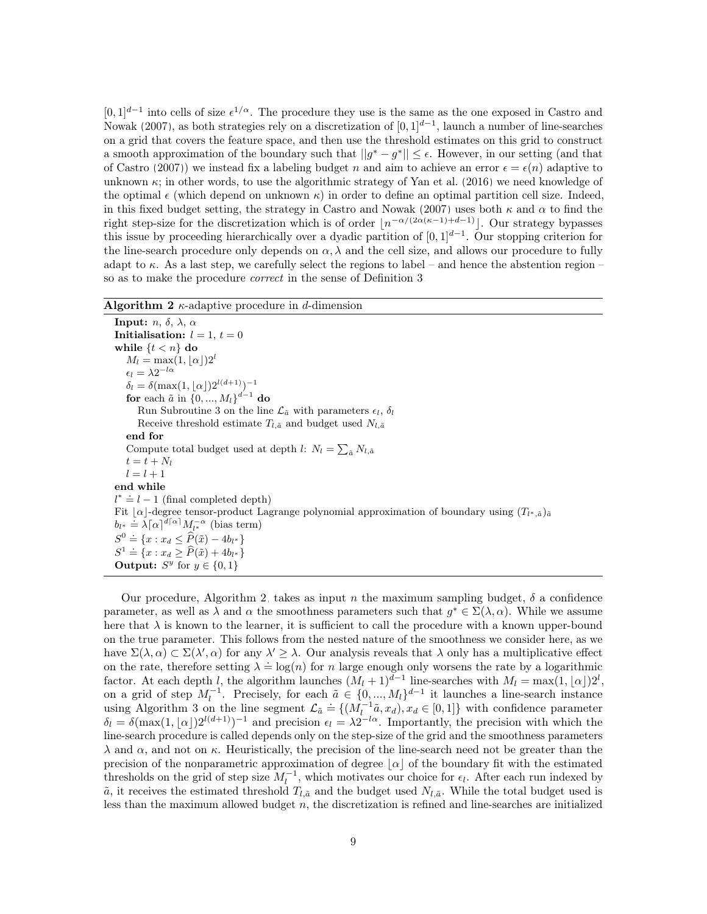$[0,1]^{d-1}$  into cells of size  $\epsilon^{1/\alpha}$ . The procedure they use is the same as the one exposed in [Castro and](#page-12-0) [Nowak](#page-12-0) [\(2007\)](#page-12-0), as both strategies rely on a discretization of  $[0,1]^{d-1}$ , launch a number of line-searches on a grid that covers the feature space, and then use the threshold estimates on this grid to construct a smooth approximation of the boundary such that  $||g^* - g^*|| \leq \epsilon$ . However, in our setting (and that of [Castro](#page-12-8) [\(2007\)](#page-12-8)) we instead fix a labeling budget n and aim to achieve an error  $\epsilon = \epsilon(n)$  adaptive to unknown  $\kappa$ ; in other words, to use the algorithmic strategy of [Yan et al.](#page-13-1) [\(2016\)](#page-13-1) we need knowledge of the optimal  $\epsilon$  (which depend on unknown  $\kappa$ ) in order to define an optimal partition cell size. Indeed, in this fixed budget setting, the strategy in [Castro and Nowak](#page-12-0) [\(2007\)](#page-12-0) uses both  $\kappa$  and  $\alpha$  to find the right step-size for the discretization which is of order  $\lfloor n^{-\alpha/(2\alpha(\kappa-1)+d-1)} \rfloor$ . Our strategy bypasses this issue by proceeding hierarchically over a dyadic partition of  $[0, 1]^{d-1}$ . Our stopping criterion for the line-search procedure only depends on  $\alpha$ ,  $\lambda$  and the cell size, and allows our procedure to fully adapt to  $\kappa$ . As a last step, we carefully select the regions to label – and hence the abstention region – so as to make the procedure correct in the sense of Definition [3.](#page-4-2)

### <span id="page-8-0"></span>Algorithm 2  $\kappa$ -adaptive procedure in d-dimension

Input:  $n, \delta, \lambda, \alpha$ Initialisation:  $l = 1, t = 0$ while  $\{t < n\}$  do  $M_l = \max(1, \lfloor \alpha \rfloor)2^l$  $\epsilon_l = \lambda 2^{-l\alpha}$  $\delta_l = \delta(\max(1, \lfloor \alpha \rfloor)2^{l(d+1)})^{-1}$ for each  $\tilde{a}$  in  $\{0, ..., M_l\}^{d-1}$  do Run Subroutine [3](#page-10-0) on the line  $\mathcal{L}_{\tilde{a}}$  with parameters  $\epsilon_l$ ,  $\delta_l$ Receive threshold estimate  $T_{l,\tilde{a}}$  and budget used  $N_{l,\tilde{a}}$ end for Compute total budget used at depth  $l: N_l = \sum_{\tilde{a}} N_{l, \tilde{a}}$  $t = t + N_l$  $l = l + 1$ end while  $l^* \doteq l - 1$  (final completed depth) Fit  $\alpha$ -degree tensor-product Lagrange polynomial approximation of boundary using  $(T_{l^*,a})_{\bar{a}}$  $b_{l^*} \doteq \lambda \lceil \alpha \rceil^{d \lceil \alpha \rceil} M_{l^*}^{-\alpha}$  (bias term)  $S^0 = \{x : x_d \leq \hat{P}(\tilde{x}) - 4b_{l^*}\}$  $S^1 \doteq \{x : x_d \ge \widehat{P}(\tilde{x}) + 4b_{l^*}\}\$ Output:  $S^y$  for  $y \in \{0, 1\}$ 

Our procedure, Algorithm [2,](#page-8-0) takes as input n the maximum sampling budget,  $\delta$  a confidence parameter, as well as  $\lambda$  and  $\alpha$  the smoothness parameters such that  $g^* \in \Sigma(\lambda, \alpha)$ . While we assume here that  $\lambda$  is known to the learner, it is sufficient to call the procedure with a known upper-bound on the true parameter. This follows from the nested nature of the smoothness we consider here, as we have  $\Sigma(\lambda, \alpha) \subset \Sigma(\lambda', \alpha)$  for any  $\lambda' \geq \lambda$ . Our analysis reveals that  $\lambda$  only has a multiplicative effect on the rate, therefore setting  $\lambda = \log(n)$  for n large enough only worsens the rate by a logarithmic factor. At each depth l, the algorithm launches  $(M_l + 1)^{d-1}$  line-searches with  $M_l = \max(1, \lfloor \alpha \rfloor)2^l$ , on a grid of step  $M_l^{-1}$ . Precisely, for each  $\tilde{a} \in \{0, ..., M_l\}^{d-1}$  it launches a line-search instance using Algorithm [3](#page-10-0) on the line segment  $\mathcal{L}_{\tilde{a}} \doteq \{ (M_l^{-1}\tilde{a}, x_d), x_d \in [0,1] \}$  with confidence parameter  $\delta_l = \delta(\max(1, \lfloor \alpha \rfloor) 2^{l(d+1)})^{-1}$  and precision  $\epsilon_l = \lambda 2^{-l\alpha}$ . Importantly, the precision with which the line-search procedure is called depends only on the step-size of the grid and the smoothness parameters  $\lambda$  and  $\alpha$ , and not on κ. Heuristically, the precision of the line-search need not be greater than the precision of the nonparametric approximation of degree  $|\alpha|$  of the boundary fit with the estimated thresholds on the grid of step size  $M_l^{-1}$ , which motivates our choice for  $\epsilon_l$ . After each run indexed by  $\tilde{a}$ , it receives the estimated threshold  $T_{l,\tilde{a}}$  and the budget used  $N_{l,\tilde{a}}$ . While the total budget used is less than the maximum allowed budget  $n$ , the discretization is refined and line-searches are initialized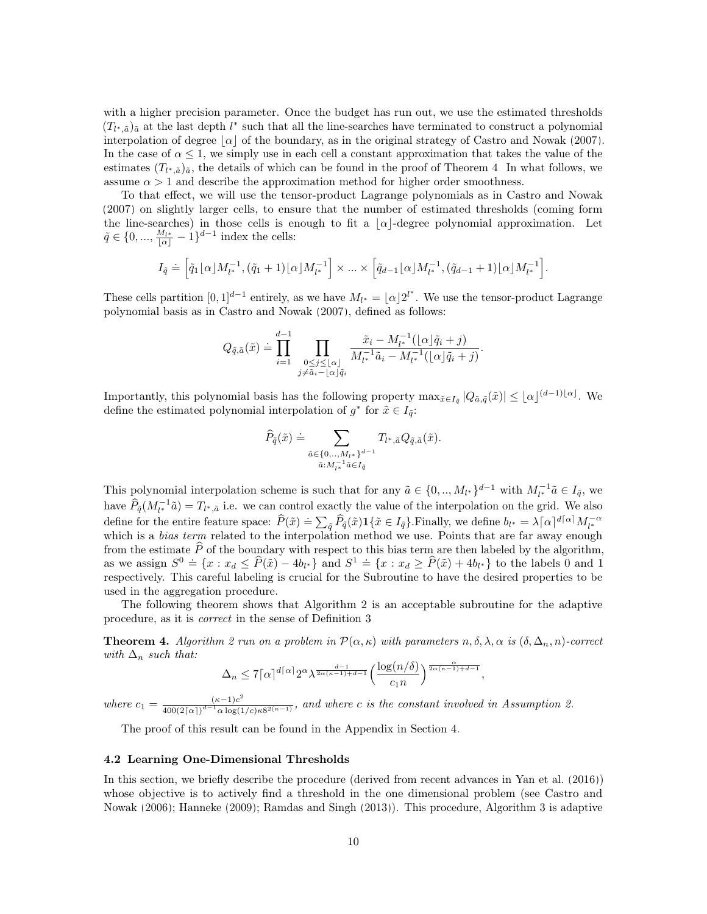with a higher precision parameter. Once the budget has run out, we use the estimated thresholds  $(T_{l^*,\tilde{a}})_{\tilde{a}}$  at the last depth  $l^*$  such that all the line-searches have terminated to construct a polynomial interpolation of degree  $|\alpha|$  of the boundary, as in the original strategy of [Castro and Nowak](#page-12-0) [\(2007\)](#page-12-0). In the case of  $\alpha \leq 1$ , we simply use in each cell a constant approximation that takes the value of the estimates  $(T_{l^*,\tilde{a}})_{\tilde{a}}$ , the details of which can be found in the proof of Theorem [4.](#page-9-0) In what follows, we assume  $\alpha > 1$  and describe the approximation method for higher order smoothness.

To that effect, we will use the tensor-product Lagrange polynomials as in [Castro and Nowak](#page-12-0) [\(2007\)](#page-12-0) on slightly larger cells, to ensure that the number of estimated thresholds (coming form the line-searches) in those cells is enough to fit a  $\alpha$ -degree polynomial approximation. Let  $\tilde{q} \in \{0, ..., \frac{M_{l^*}}{|\alpha|} - 1\}^{d-1}$  index the cells:

$$
I_{\tilde{q}} \doteq \Big[ \tilde{q}_1[\alpha] M_{l^*}^{-1}, (\tilde{q}_1 + 1)[\alpha] M_{l^*}^{-1} \Big] \times \ldots \times \Big[ \tilde{q}_{d-1}[\alpha] M_{l^*}^{-1}, (\tilde{q}_{d-1} + 1)[\alpha] M_{l^*}^{-1} \Big].
$$

These cells partition  $[0,1]^{d-1}$  entirely, as we have  $M_{l^*} = \lfloor \alpha \rfloor 2^{l^*}$ . We use the tensor-product Lagrange polynomial basis as in [Castro and Nowak](#page-12-0) [\(2007\)](#page-12-0), defined as follows:

$$
Q_{\tilde{q},\tilde{a}}(\tilde{x}) \doteq \prod_{i=1}^{d-1} \prod_{\substack{0 \le j \le \lfloor \alpha \rfloor \\ j \ne \tilde{a}_i - \lfloor \alpha \rfloor \tilde{q}_i}} \frac{\tilde{x}_i - M_{l^*}^{-1}(\lfloor \alpha \rfloor \tilde{q}_i + j)}{M_{l^*}^{-1}\tilde{a}_i - M_{l^*}^{-1}(\lfloor \alpha \rfloor \tilde{q}_i + j)}.
$$

Importantly, this polynomial basis has the following property  $\max_{\tilde{x} \in I_{\tilde{q}}} |Q_{\tilde{a},\tilde{q}}(\tilde{x})| \leq \lfloor \alpha \rfloor^{(d-1)\lfloor \alpha \rfloor}$ . We define the estimated polynomial interpolation of  $g^*$  for  $\tilde{x} \in I_{\tilde{q}}$ :

$$
\widehat{P}_{\tilde{q}}(\tilde{x}) \doteq \sum_{\substack{\tilde{a} \in \{0, \ldots, M_{l^*}\}^{d-1} \\ \tilde{a}: M_{l^*}^{-1} \tilde{a} \in I_{\tilde{q}}}} T_{l^*, \tilde{a}} Q_{\tilde{q}, \tilde{a}}(\tilde{x}).
$$

This polynomial interpolation scheme is such that for any  $\tilde{a} \in \{0, ..., M_{l^*}\}^{d-1}$  with  $M_{l^*}^{-1}\tilde{a} \in I_{\tilde{q}}$ , we have  $\widehat{P}_{\tilde{q}}(M_{l^*}^{-1}\tilde{a}) = T_{l^*,\tilde{a}}$  i.e. we can control exactly the value of the interpolation on the grid. We also define for the entire feature space:  $\hat{P}(\tilde{x}) = \sum_{\tilde{q}} \tilde{P}_{\tilde{q}}(\tilde{x}) \mathbf{1}\{\tilde{x} \in I_{\tilde{q}}\}$ . Finally, we define  $b_{l^*} = \lambda[\alpha]^{d[\alpha]} M_{l^*}^{-\alpha}$ <br>which is a *bias term* related to the interpolation method we use. Poin from the estimate  $\hat{P}$  of the boundary with respect to this bias term are then labeled by the algorithm, as we assign  $S^0 = \{x : x_d \le \hat{P}(\tilde{x}) - 4b_{l^*}\}$  and  $S^1 = \{x : x_d \ge \hat{P}(\tilde{x}) + 4b_{l^*}\}$  to the labels 0 and 1 respectively. This careful labeling is crucial for the Subroutine to have the desired properties to be used in the aggregation procedure.

The following theorem shows that Algorithm [2](#page-8-0) is an acceptable subroutine for the adaptive procedure, as it is correct in the sense of Definition [3.](#page-4-2)

<span id="page-9-0"></span>**Theorem 4.** Algorithm [2](#page-8-0) run on a problem in  $\mathcal{P}(\alpha,\kappa)$  with parameters  $n, \delta, \lambda, \alpha$  is  $(\delta, \Delta_n, n)$ -correct with  $\Delta_n$  such that:

$$
\Delta_n \leq 7 \lceil \alpha \rceil^{d \lceil \alpha \rceil} 2^{ \alpha} \lambda^{\frac{d-1}{2\alpha(\kappa-1)+d-1}} \Big(\frac{\log(n/\delta)}{c_1 n}\Big)^{\frac{\alpha}{2\alpha(\kappa-1)+d-1}},
$$

where  $c_1 = \frac{(\kappa - 1)c^2}{400(2\lceil \alpha \rceil)^{d-1} \alpha \log(1)}$  $\frac{(\kappa-1)c}{400(2\lceil\alpha\rceil)^{d-1}\alpha\log(1/c)\kappa 8^{2(\kappa-1)}}$ , and where c is the constant involved in Assumption [2.](#page-3-2)

The proof of this result can be found in the Appendix in Section [4.](#page-9-0)

## 4.2 Learning One-Dimensional Thresholds

In this section, we briefly describe the procedure (derived from recent advances in [Yan et al.](#page-13-1) [\(2016\)](#page-13-1)) whose objective is to actively find a threshold in the one dimensional problem (see [Castro and](#page-12-11) [Nowak](#page-12-11) [\(2006\)](#page-12-11); [Hanneke](#page-12-2) [\(2009\)](#page-12-2); [Ramdas and Singh](#page-13-2) [\(2013\)](#page-13-2)). This procedure, Algorithm [3](#page-10-0) is adaptive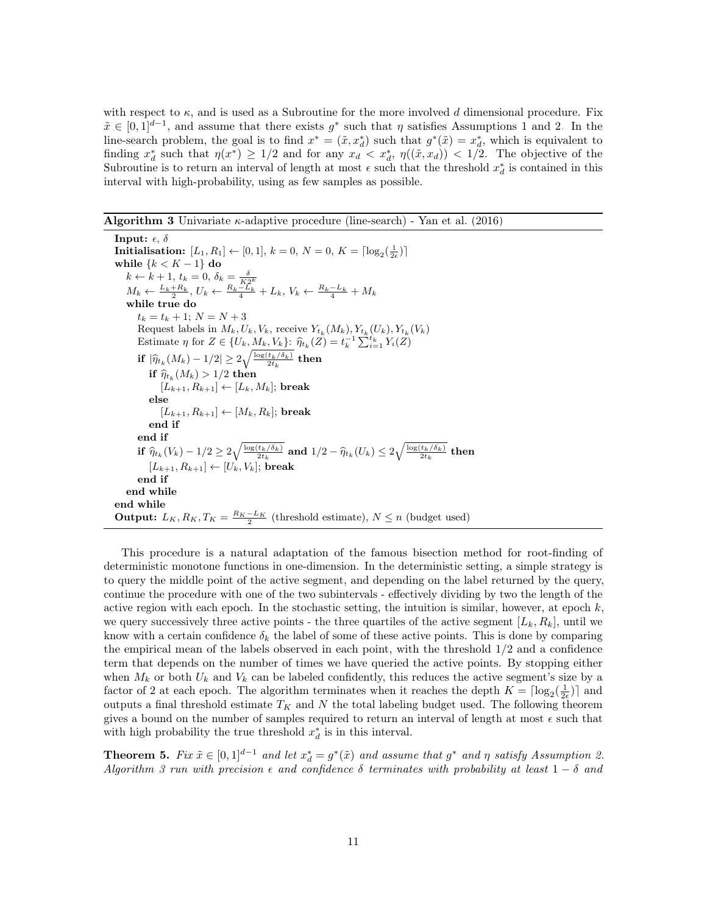with respect to  $\kappa$ , and is used as a Subroutine for the more involved d dimensional procedure. Fix  $\tilde{x} \in [0,1]^{d-1}$ , and assume that there exists  $g^*$  such that  $\eta$  satisfies Assumptions [1](#page-3-3) and [2.](#page-3-2) In the line-search problem, the goal is to find  $x^* = (\tilde{x}, x_d^*)$  such that  $g^*(\tilde{x}) = x_d^*$ , which is equivalent to finding  $x_d^*$  such that  $\eta(x^*) \geq 1/2$  and for any  $x_d < x_d^*$ ,  $\eta((\tilde{x}, x_d)) < 1/2$ . The objective of the Subroutine is to return an interval of length at most  $\epsilon$  such that the threshold  $x_d^*$  is contained in this interval with high-probability, using as few samples as possible.

<span id="page-10-0"></span>**Algorithm 3** Univariate  $\kappa$ -adaptive procedure (line-search) - [Yan et al.](#page-13-1) [\(2016\)](#page-13-1)

Input:  $\epsilon$ ,  $\delta$ Initialisation:  $[L_1, R_1] \leftarrow [0, 1], k = 0, N = 0, K = \lceil \log_2(\frac{1}{2\epsilon}) \rceil$ while  $\{k < K - 1\}$  do  $k \leftarrow k + 1, t_k = 0, \delta_k = \frac{\delta}{K2^k}$ <br>  $M_k \leftarrow \frac{L_k + R_k}{2}, U_k \leftarrow \frac{R_k - L_k}{4} + L_k, V_k \leftarrow \frac{R_k - L_k}{4} + M_k$ while true do  $t_k = t_k + 1; N = N + 3$ Request labels in  $M_k, U_k, V_k$ , receive  $Y_{t_k}(M_k), Y_{t_k}(U_k), Y_{t_k}(V_k)$ Estimate  $\eta$  for  $Z \in \{U_k, M_k, V_k\}$ :  $\widehat{\eta}_{t_k}(Z) = t_k^{-1} \sum_{i=1}^{t_k} Y_i(Z)$ if  $|\widehat{\eta}_{t_k}(M_k) - 1/2| \geq 2\sqrt{\frac{\log(t_k/\delta_k)}{2t_k}}$  then  $\inf_{\begin{subarray}{c} \text{if } P_{k} \ (M_{k}) > 1/2 \ \text{then} \end{subarray}}$  $[L_{k+1}, R_{k+1}] \leftarrow [L_k, M_k]$ ; break else  $[L_{k+1}, R_{k+1}] \leftarrow [M_k, R_k]$ ; break end if end if if  $\widehat{\eta}_{t_k}(V_k) - 1/2 \geq 2\sqrt{\frac{\log(t_k/\delta_k)}{2t_k}}$  and  $1/2 - \widehat{\eta}_{t_k}(U_k) \leq 2\sqrt{\frac{\log(t_k/\delta_k)}{2t_k}}$  then  $[L_{k+1}, R_{k+1}] \leftarrow [U_k, V_k]$ ; break end if end while end while **Output:**  $L_K$ ,  $R_K$ ,  $T_K = \frac{R_K - L_K}{2}$  (threshold estimate),  $N \le n$  (budget used)

This procedure is a natural adaptation of the famous bisection method for root-finding of deterministic monotone functions in one-dimension. In the deterministic setting, a simple strategy is to query the middle point of the active segment, and depending on the label returned by the query, continue the procedure with one of the two subintervals - effectively dividing by two the length of the active region with each epoch. In the stochastic setting, the intuition is similar, however, at epoch  $k$ , we query successively three active points - the three quartiles of the active segment  $[L_k, R_k]$ , until we know with a certain confidence  $\delta_k$  the label of some of these active points. This is done by comparing the empirical mean of the labels observed in each point, with the threshold  $1/2$  and a confidence term that depends on the number of times we have queried the active points. By stopping either when  $M_k$  or both  $U_k$  and  $V_k$  can be labeled confidently, this reduces the active segment's size by a factor of 2 at each epoch. The algorithm terminates when it reaches the depth  $K = \lceil \log_2(\frac{1}{2\epsilon}) \rceil$  and outputs a final threshold estimate  $T_K$  and N the total labeling budget used. The following theorem gives a bound on the number of samples required to return an interval of length at most  $\epsilon$  such that with high probability the true threshold  $x_d^*$  is in this interval.

<span id="page-10-1"></span>**Theorem 5.** Fix  $\tilde{x} \in [0,1]^{d-1}$  and let  $x_d^* = g^*(\tilde{x})$  and assume that  $g^*$  and  $\eta$  satisfy Assumption [2.](#page-3-2) Algorithm [3](#page-10-0) run with precision  $\epsilon$  and confidence  $\delta$  terminates with probability at least  $1 - \delta$  and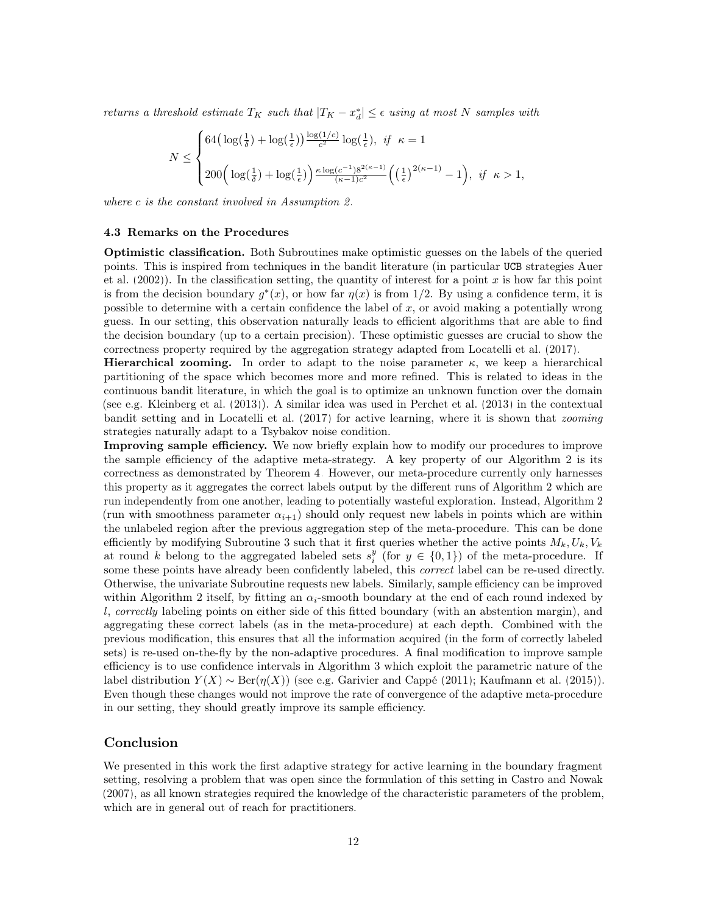returns a threshold estimate  $T_K$  such that  $|T_K - x_d^*| \leq \epsilon$  using at most N samples with

$$
N \le \begin{cases} 64\left(\log(\frac{1}{\delta}) + \log(\frac{1}{\epsilon})\right) \frac{\log(1/c)}{c^2} \log(\frac{1}{\epsilon}), & \text{if } \kappa = 1\\ 200\left(\log(\frac{1}{\delta}) + \log(\frac{1}{\epsilon})\right) \frac{\kappa \log(c^{-1}) 8^{2(\kappa - 1)}}{(\kappa - 1)c^2} \left((\frac{1}{\epsilon})^{2(\kappa - 1)} - 1\right), & \text{if } \kappa > 1, \end{cases}
$$

where c is the constant involved in Assumption [2.](#page-3-2)

#### 4.3 Remarks on the Procedures

Optimistic classification. Both Subroutines make optimistic guesses on the labels of the queried points. This is inspired from techniques in the bandit literature (in particular UCB strategies [Auer](#page-12-12) [et al.](#page-12-12)  $(2002)$ ). In the classification setting, the quantity of interest for a point x is how far this point is from the decision boundary  $g^*(x)$ , or how far  $\eta(x)$  is from 1/2. By using a confidence term, it is possible to determine with a certain confidence the label of x, or avoid making a potentially wrong guess. In our setting, this observation naturally leads to efficient algorithms that are able to find the decision boundary (up to a certain precision). These optimistic guesses are crucial to show the correctness property required by the aggregation strategy adapted from [Locatelli et al.](#page-12-9) [\(2017\)](#page-12-9).

Hierarchical zooming. In order to adapt to the noise parameter  $\kappa$ , we keep a hierarchical partitioning of the space which becomes more and more refined. This is related to ideas in the continuous bandit literature, in which the goal is to optimize an unknown function over the domain (see e.g. [Kleinberg et al.](#page-12-13) [\(2013\)](#page-12-13)). A similar idea was used in [Perchet et al.](#page-13-5) [\(2013\)](#page-13-5) in the contextual bandit setting and in [Locatelli et al.](#page-12-9) [\(2017\)](#page-12-9) for active learning, where it is shown that zooming strategies naturally adapt to a Tsybakov noise condition.

Improving sample efficiency. We now briefly explain how to modify our procedures to improve the sample efficiency of the adaptive meta-strategy. A key property of our Algorithm [2](#page-8-0) is its correctness as demonstrated by Theorem [4.](#page-9-0) However, our meta-procedure currently only harnesses this property as it aggregates the correct labels output by the different runs of Algorithm [2](#page-8-0) which are run independently from one another, leading to potentially wasteful exploration. Instead, Algorithm [2](#page-8-0) (run with smoothness parameter  $\alpha_{i+1}$ ) should only request new labels in points which are within the unlabeled region after the previous aggregation step of the meta-procedure. This can be done efficiently by modifying Subroutine [3](#page-10-0) such that it first queries whether the active points  $M_k, U_k, V_k$ at round k belong to the aggregated labeled sets  $s_i^y$  (for  $y \in \{0,1\}$ ) of the meta-procedure. If some these points have already been confidently labeled, this *correct* label can be re-used directly. Otherwise, the univariate Subroutine requests new labels. Similarly, sample efficiency can be improved within Algorithm [2](#page-8-0) itself, by fitting an  $\alpha_i$ -smooth boundary at the end of each round indexed by l, correctly labeling points on either side of this fitted boundary (with an abstention margin), and aggregating these correct labels (as in the meta-procedure) at each depth. Combined with the previous modification, this ensures that all the information acquired (in the form of correctly labeled sets) is re-used on-the-fly by the non-adaptive procedures. A final modification to improve sample efficiency is to use confidence intervals in Algorithm [3](#page-10-0) which exploit the parametric nature of the label distribution  $Y(X) \sim \text{Ber}(\eta(X))$  (see e.g. [Garivier and Cappé](#page-12-14) [\(2011\)](#page-12-14); [Kaufmann et al.](#page-12-15) [\(2015\)](#page-12-15)). Even though these changes would not improve the rate of convergence of the adaptive meta-procedure in our setting, they should greatly improve its sample efficiency.

## Conclusion

We presented in this work the first adaptive strategy for active learning in the boundary fragment setting, resolving a problem that was open since the formulation of this setting in [Castro and Nowak](#page-12-0) [\(2007\)](#page-12-0), as all known strategies required the knowledge of the characteristic parameters of the problem, which are in general out of reach for practitioners.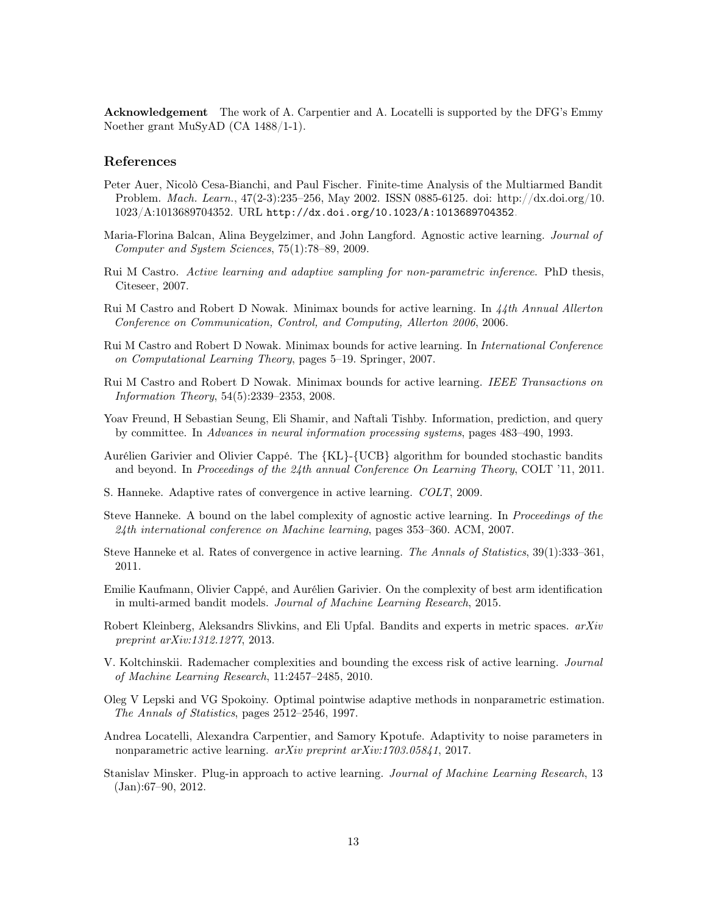Acknowledgement The work of A. Carpentier and A. Locatelli is supported by the DFG's Emmy Noether grant MuSyAD (CA 1488/1-1).

### References

- <span id="page-12-12"></span>Peter Auer, Nicolò Cesa-Bianchi, and Paul Fischer. Finite-time Analysis of the Multiarmed Bandit Problem. Mach. Learn., 47(2-3):235–256, May 2002. ISSN 0885-6125. doi: http://dx.doi.org/10. 1023/A:1013689704352. URL <http://dx.doi.org/10.1023/A:1013689704352>.
- <span id="page-12-5"></span>Maria-Florina Balcan, Alina Beygelzimer, and John Langford. Agnostic active learning. Journal of Computer and System Sciences, 75(1):78–89, 2009.
- <span id="page-12-8"></span>Rui M Castro. Active learning and adaptive sampling for non-parametric inference. PhD thesis, Citeseer, 2007.
- <span id="page-12-11"></span>Rui M Castro and Robert D Nowak. Minimax bounds for active learning. In 44th Annual Allerton Conference on Communication, Control, and Computing, Allerton 2006, 2006.
- <span id="page-12-0"></span>Rui M Castro and Robert D Nowak. Minimax bounds for active learning. In International Conference on Computational Learning Theory, pages 5–19. Springer, 2007.
- <span id="page-12-16"></span>Rui M Castro and Robert D Nowak. Minimax bounds for active learning. IEEE Transactions on Information Theory, 54(5):2339–2353, 2008.
- <span id="page-12-1"></span>Yoav Freund, H Sebastian Seung, Eli Shamir, and Naftali Tishby. Information, prediction, and query by committee. In Advances in neural information processing systems, pages 483–490, 1993.
- <span id="page-12-14"></span>Aurélien Garivier and Olivier Cappé. The {KL}-{UCB} algorithm for bounded stochastic bandits and beyond. In Proceedings of the 24th annual Conference On Learning Theory, COLT '11, 2011.
- <span id="page-12-2"></span>S. Hanneke. Adaptive rates of convergence in active learning. COLT, 2009.
- <span id="page-12-6"></span>Steve Hanneke. A bound on the label complexity of agnostic active learning. In Proceedings of the 24th international conference on Machine learning, pages 353–360. ACM, 2007.
- <span id="page-12-7"></span>Steve Hanneke et al. Rates of convergence in active learning. The Annals of Statistics, 39(1):333–361, 2011.
- <span id="page-12-15"></span>Emilie Kaufmann, Olivier Cappé, and Aurélien Garivier. On the complexity of best arm identification in multi-armed bandit models. Journal of Machine Learning Research, 2015.
- <span id="page-12-13"></span>Robert Kleinberg, Aleksandrs Slivkins, and Eli Upfal. Bandits and experts in metric spaces.  $arXiv$ preprint arXiv:1312.1277, 2013.
- <span id="page-12-3"></span>V. Koltchinskii. Rademacher complexities and bounding the excess risk of active learning. Journal of Machine Learning Research, 11:2457–2485, 2010.
- <span id="page-12-10"></span>Oleg V Lepski and VG Spokoiny. Optimal pointwise adaptive methods in nonparametric estimation. The Annals of Statistics, pages 2512–2546, 1997.
- <span id="page-12-9"></span>Andrea Locatelli, Alexandra Carpentier, and Samory Kpotufe. Adaptivity to noise parameters in nonparametric active learning. arXiv preprint arXiv:1703.05841, 2017.
- <span id="page-12-4"></span>Stanislav Minsker. Plug-in approach to active learning. Journal of Machine Learning Research, 13 (Jan):67–90, 2012.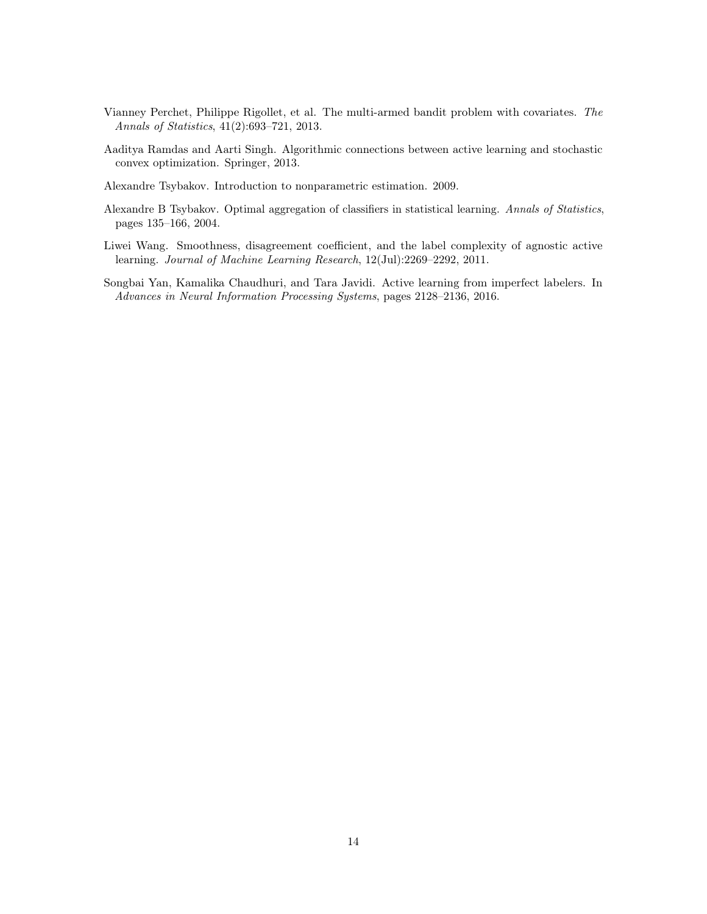- <span id="page-13-5"></span>Vianney Perchet, Philippe Rigollet, et al. The multi-armed bandit problem with covariates. The Annals of Statistics, 41(2):693–721, 2013.
- <span id="page-13-2"></span>Aaditya Ramdas and Aarti Singh. Algorithmic connections between active learning and stochastic convex optimization. Springer, 2013.
- <span id="page-13-4"></span>Alexandre Tsybakov. Introduction to nonparametric estimation. 2009.
- <span id="page-13-0"></span>Alexandre B Tsybakov. Optimal aggregation of classifiers in statistical learning. Annals of Statistics, pages 135–166, 2004.
- <span id="page-13-3"></span>Liwei Wang. Smoothness, disagreement coefficient, and the label complexity of agnostic active learning. Journal of Machine Learning Research, 12(Jul):2269–2292, 2011.
- <span id="page-13-1"></span>Songbai Yan, Kamalika Chaudhuri, and Tara Javidi. Active learning from imperfect labelers. In Advances in Neural Information Processing Systems, pages 2128–2136, 2016.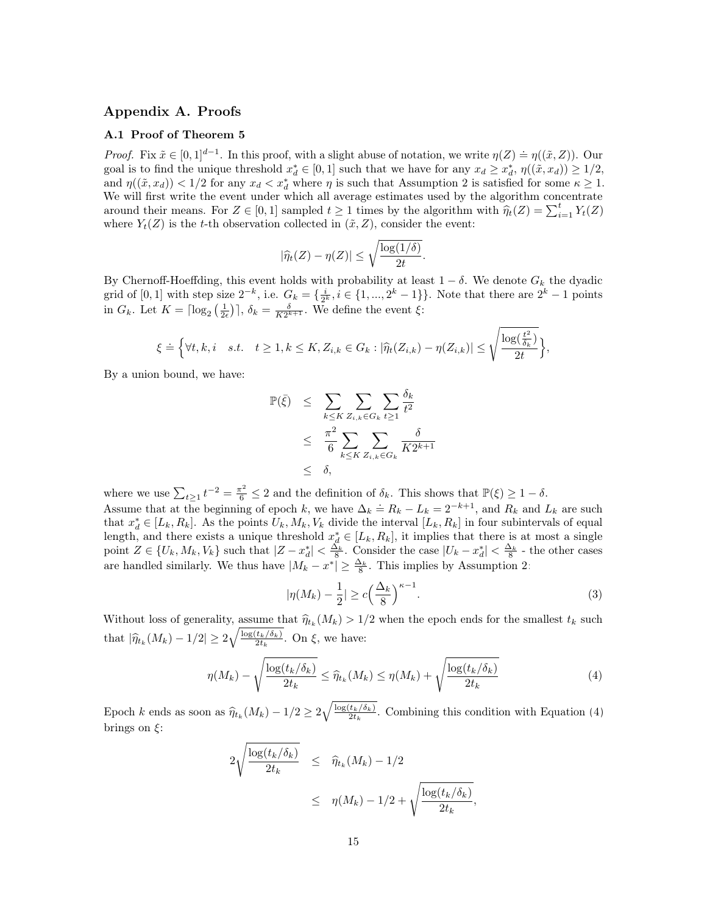## Appendix A. Proofs

## A.1 Proof of Theorem [5](#page-10-1)

*Proof.* Fix  $\tilde{x} \in [0,1]^{d-1}$ . In this proof, with a slight abuse of notation, we write  $\eta(Z) \doteq \eta((\tilde{x}, Z))$ . Our goal is to find the unique threshold  $x_d^* \in [0,1]$  such that we have for any  $x_d \geq x_d^*$ ,  $\eta((\tilde{x}, x_d)) \geq 1/2$ , and  $\eta((\tilde{x}, x_d)) < 1/2$  for any  $x_d < x_d^*$  where  $\eta$  is such that Assumption [2](#page-3-2) is satisfied for some  $\kappa \ge 1$ . We will first write the event under which all average estimates used by the algorithm concentrate around their means. For  $Z \in [0,1]$  sampled  $t \geq 1$  times by the algorithm with  $\hat{\eta}_t(Z) = \sum_{i=1}^t Y_t(Z)$ <br>where  $Y(Z)$  is the t the electronical substitution collected in  $(\tilde{x}, Z)$  consider the event: where  $Y_t(Z)$  is the t-th observation collected in  $(\tilde{x}, Z)$ , consider the event:

$$
|\widehat{\eta}_t(Z) - \eta(Z)| \le \sqrt{\frac{\log(1/\delta)}{2t}}.
$$

By Chernoff-Hoeffding, this event holds with probability at least  $1 - \delta$ . We denote  $G_k$  the dyadic grid of [0, 1] with step size  $2^{-k}$ , i.e.  $G_k = \{\frac{i}{2^k}, i \in \{1, ..., 2^k - 1\}\}$ . Note that there are  $2^k - 1$  points in  $G_k$ . Let  $K = \lceil \log_2(\frac{1}{2\epsilon}) \rceil$ ,  $\delta_k = \frac{\delta}{K2^{k+1}}$ . We define the event  $\xi$ :

$$
\xi \doteq \Big\{\forall t,k,i \quad s.t. \quad t \geq 1, k \leq K, Z_{i,k} \in G_k : |\widehat{\eta}_t(Z_{i,k}) - \eta(Z_{i,k})| \leq \sqrt{\frac{\log(\frac{t^2}{\delta_k})}{2t}}\Big\},\
$$

By a union bound, we have:

$$
\mathbb{P}(\bar{\xi}) \leq \sum_{k \leq K} \sum_{Z_{i,k} \in G_k} \sum_{t \geq 1} \frac{\delta_k}{t^2}
$$
  
 
$$
\leq \frac{\pi^2}{6} \sum_{k \leq K} \sum_{Z_{i,k} \in G_k} \frac{\delta}{K 2^{k+1}}
$$
  
 
$$
\leq \delta,
$$

where we use  $\sum_{t\geq 1} t^{-2} = \frac{\pi^2}{6} \leq 2$  and the definition of  $\delta_k$ . This shows that  $\mathbb{P}(\xi) \geq 1 - \delta$ . Assume that at the beginning of epoch k, we have  $\Delta_k = R_k - L_k = 2^{-k+1}$ , and  $R_k$  and  $L_k$  are such that  $x_d^* \in [L_k, R_k]$ . As the points  $U_k, M_k, V_k$  divide the interval  $[L_k, R_k]$  in four subintervals of equal length, and there exists a unique threshold  $x_d^* \in [L_k, R_k]$ , it implies that there is at most a single point  $Z \in \{U_k, M_k, V_k\}$  such that  $|Z - x_d^*| < \frac{\tilde{\Delta_k}}{8}$ . Consider the case  $|U_k - x_d^*| < \frac{\Delta_k}{8}$  - the other cases are handled similarly. We thus have  $|M_k - x^*| \ge \frac{\Delta_k}{8}$ . This implies by Assumption [2:](#page-3-2)

<span id="page-14-1"></span><span id="page-14-0"></span>
$$
|\eta(M_k) - \frac{1}{2}| \ge c \left(\frac{\Delta_k}{8}\right)^{\kappa - 1}.\tag{3}
$$

Without loss of generality, assume that  $\hat{\eta}_{t_k}(M_k) > 1/2$  when the epoch ends for the smallest  $t_k$  such that  $|\hat{\eta}_{t_k}(M_k) - 1/2| \ge 2\sqrt{\frac{\log(t_k/\delta_k)}{2t_k}}$  $\frac{t_k/\mathfrak{o}_k}{2t_k}$ . On  $\xi$ , we have:

$$
\eta(M_k) - \sqrt{\frac{\log(t_k/\delta_k)}{2t_k}} \le \widehat{\eta}_{t_k}(M_k) \le \eta(M_k) + \sqrt{\frac{\log(t_k/\delta_k)}{2t_k}}
$$
(4)

Epoch k ends as soon as  $\widehat{\eta}_{t_k}(M_k) - 1/2 \geq 2\sqrt{\frac{\log(t_k/\delta_k)}{2t_k}}$  $\frac{t_k/\delta_k}{2t_k}$ . Combining this condition with Equation [\(4\)](#page-14-0) brings on  $\xi$ :

$$
2\sqrt{\frac{\log(t_k/\delta_k)}{2t_k}} \leq \hat{\eta}_{t_k}(M_k) - 1/2
$$
  

$$
\leq \eta(M_k) - 1/2 + \sqrt{\frac{\log(t_k/\delta_k)}{2t_k}},
$$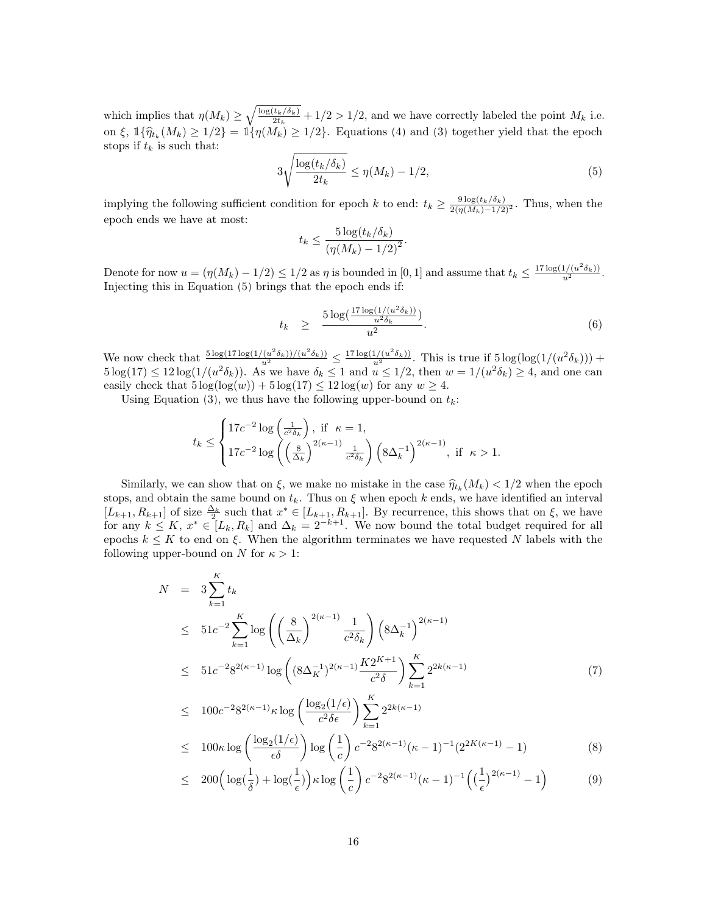which implies that  $\eta(M_k) \geq \sqrt{\frac{\log(t_k/\delta_k)}{2t_k}}$  $\frac{\tau_k/\sigma_k}{2t_k} + 1/2 > 1/2$ , and we have correctly labeled the point  $M_k$  i.e. on  $\xi$ ,  $\mathbb{1}\{\hat{\eta}_{t_k}(M_k) \geq 1/2\} = \mathbb{1}\{\eta(M_k) \geq 1/2\}$ . Equations [\(4\)](#page-14-0) and [\(3\)](#page-14-1) together yield that the epoch stops if  $t_k$  is such that:

<span id="page-15-0"></span>
$$
3\sqrt{\frac{\log(t_k/\delta_k)}{2t_k}} \le \eta(M_k) - 1/2,\tag{5}
$$

implying the following sufficient condition for epoch k to end:  $t_k \geq \frac{9 \log(t_k/\delta_k)}{2(\eta(M_k)-1/2)^2}$ . Thus, when the epoch ends we have at most:

$$
t_k \le \frac{5\log(t_k/\delta_k)}{\left(\eta(M_k) - 1/2\right)^2}.
$$

Denote for now  $u = (\eta(M_k) - 1/2) \leq 1/2$  as  $\eta$  is bounded in [0, 1] and assume that  $t_k \leq \frac{17 \log(1/(u^2 \delta_k))}{u^2}$ . Injecting this in Equation [\(5\)](#page-15-0) brings that the epoch ends if:

$$
t_k \geq \frac{5 \log(\frac{17 \log(1/(u^2 \delta_k))}{u^2 \delta_k})}{u^2}.
$$
\n
$$
(6)
$$

We now check that  $\frac{5 \log(17 \log(1/(u^2 \delta_k))/(u^2 \delta_k))}{u^2} \leq \frac{17 \log(1/(u^2 \delta_k))}{u^2}$ . This is true if  $5 \log(\log(1/(u^2 \delta_k)))$  +  $5\log(17) \leq 12\log(1/(u^2\delta_k))$ . As we have  $\delta_k \leq 1$  and  $u \leq 1/2$ , then  $w = 1/(u^2\delta_k) \geq 4$ , and one can easily check that  $5 \log(\log(w)) + 5 \log(17) \leq 12 \log(w)$  for any  $w \geq 4$ .

Using Equation [\(3\)](#page-14-1), we thus have the following upper-bound on  $t_k$ :

$$
t_k \leq \begin{cases} 17c^{-2} \log\left(\frac{1}{c^2 \delta_k}\right), \text{ if } \kappa = 1, \\ 17c^{-2} \log\left(\left(\frac{8}{\Delta_k}\right)^{2(\kappa - 1)} \frac{1}{c^2 \delta_k}\right) \left(8\Delta_k^{-1}\right)^{2(\kappa - 1)}, \text{ if } \kappa > 1. \end{cases}
$$

Similarly, we can show that on  $\xi$ , we make no mistake in the case  $\hat{\eta}_{t_k}(M_k) < 1/2$  when the epoch<br>as and obtain the same bound on  $t$ . Thus on  $\xi$  when epoch k ands, we have identified an interval stops, and obtain the same bound on  $t_k$ . Thus on  $\xi$  when epoch k ends, we have identified an interval  $[L_{k+1}, R_{k+1}]$  of size  $\frac{\Delta_k}{2}$  such that  $x^* \in [L_{k+1}, R_{k+1}]$ . By recurrence, this shows that on  $\xi$ , we have for any  $k \leq K$ ,  $x^* \in [L_k, R_k]$  and  $\Delta_k = 2^{-k+1}$ . We now bound the total budget required for all epochs  $k \leq K$  to end on  $\xi$ . When the algorithm terminates we have requested N labels with the following upper-bound on N for  $\kappa > 1$ :

<span id="page-15-1"></span>
$$
N = 3 \sum_{k=1}^{K} t_k
$$
  
\n
$$
\leq 51c^{-2} \sum_{k=1}^{K} \log \left( \left( \frac{8}{\Delta_k} \right)^{2(\kappa - 1)} \frac{1}{c^2 \delta_k} \right) \left( 8\Delta_k^{-1} \right)^{2(\kappa - 1)}
$$
  
\n
$$
\leq 51c^{-2} 8^{2(\kappa - 1)} \log \left( (8\Delta_K^{-1})^{2(\kappa - 1)} \frac{K2^{K+1}}{c^2 \delta} \right) \sum_{k=1}^{K} 2^{2k(\kappa - 1)}
$$
  
\n
$$
\leq 100c^{-2} 8^{2(\kappa - 1)} \kappa \log \left( \frac{\log_2(1/\epsilon)}{2 \delta} \right) \sum_{k=1}^{K} 2^{2k(\kappa - 1)}
$$
 (7)

$$
\leq 100c^{-2}8^{2(\kappa-1)}\kappa \log \left(\frac{\log_2(1/\epsilon)}{c^2 \delta \epsilon}\right) \sum_{k=1}^{\kappa} 2^{2k(\kappa-1)} \n\leq 100\kappa \log \left(\frac{\log_2(1/\epsilon)}{\epsilon \delta}\right) \log \left(\frac{1}{c}\right) c^{-2}8^{2(\kappa-1)}(\kappa-1)^{-1} (2^{2K(\kappa-1)}-1)
$$
\n(8)

$$
\leq 200 \left( \log(\frac{1}{\delta}) + \log(\frac{1}{\epsilon}) \right) \kappa \log \left( \frac{1}{c} \right) c^{-2} 8^{2(\kappa - 1)} (\kappa - 1)^{-1} \left( \left( \frac{1}{\epsilon} \right)^{2(\kappa - 1)} - 1 \right) \tag{9}
$$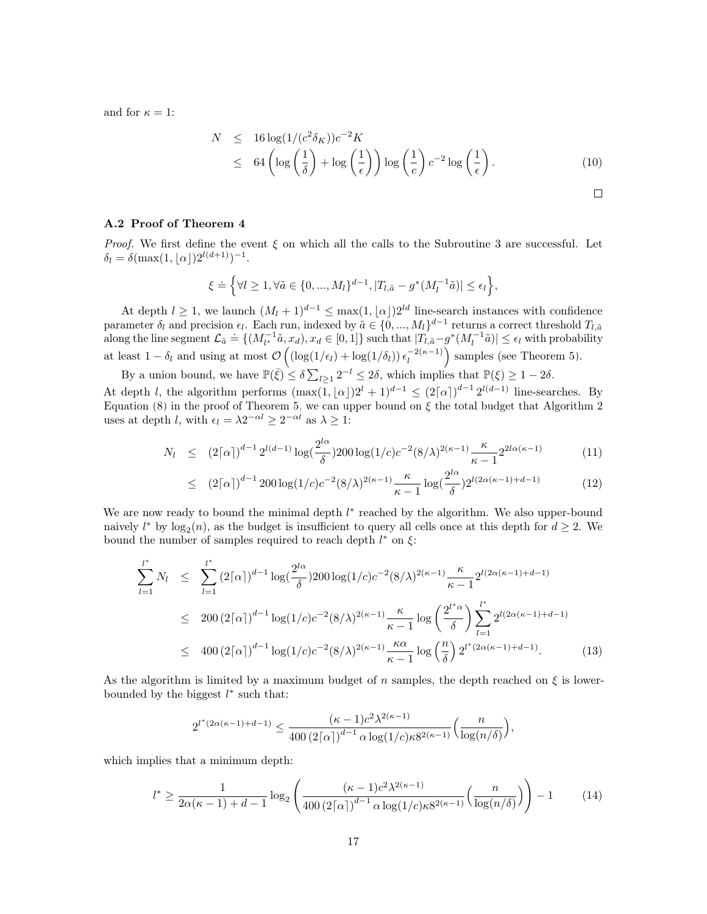and for  $\kappa = 1$ :

$$
N \le 16 \log(1/(c^2 \delta_K))c^{-2}K
$$
  
\n
$$
\le 64 \left(\log\left(\frac{1}{\delta}\right) + \log\left(\frac{1}{\epsilon}\right)\right) \log\left(\frac{1}{c}\right)c^{-2} \log\left(\frac{1}{\epsilon}\right).
$$
 (10)

#### A.2 Proof of Theorem [4](#page-9-0)

*Proof.* We first define the event  $\xi$  on which all the calls to the Subroutine [3](#page-10-0) are successful. Let  $\delta_l = \delta(\max(1, \lfloor \alpha \rfloor) 2^{l(d+1)})^{-1}.$ 

$$
\xi \doteq \Big\{\forall l \geq 1, \forall \tilde{a} \in \{0, ..., M_l\}^{d-1}, |T_{l, \tilde{a}} - g^*(M_l^{-1}\tilde{a})| \leq \epsilon_l \Big\},\
$$

At depth  $l \geq 1$ , we launch  $(M_l + 1)^{d-1} \leq \max(1, \lfloor \alpha \rfloor)2^{ld}$  line-search instances with confidence parameter  $\delta_l$  and precision  $\epsilon_l$ . Each run, indexed by  $\tilde{a} \in \{0, ..., M_l\}^{d-1}$  returns a correct threshold  $T_{l,\tilde{a}}$ parameter  $v_i$  and pression  $e_i$ . Each ran, masked by  $a \in \{0, ..., m_i\}$  recently a correct emergined  $r_{i,a}$  along the line segment  $\mathcal{L}_{\tilde{a}} = \{(M_i^{-1}\tilde{a}, x_d), x_d \in [0,1]\}$  such that  $|T_{i,\tilde{a}} - g^*(M_i^{-1}\tilde{a})| \le \epsilon_i$  with pro at least  $1 - \delta_l$  and using at most  $\mathcal{O}\left(\left(\log(1/\epsilon_l) + \log(1/\delta_l)\right)\epsilon_l^{-2(\kappa-1)}\right)$  $\binom{-2(\kappa-1)}{l}$  samples (see Theorem [5\)](#page-10-1).

By a union bound, we have  $\mathbb{P}(\bar{\xi}) \leq \delta \sum_{l \geq 1} 2^{-l} \leq 2\delta$ , which implies that  $\mathbb{P}(\xi) \geq 1 - 2\delta$ .

At depth *l*, the algorithm performs  $(\max(1, |\alpha|)2^{l} + 1)^{d-1} \leq (2\lceil \alpha \rceil)^{d-1} 2^{l(d-1)}$  line-searches. By Equation [\(8\)](#page-15-1) in the proof of Theorem [5,](#page-10-1) we can upper bound on  $\xi$  the total budget that Algorithm [2](#page-8-0) uses at depth *l*, with  $\epsilon_l = \lambda 2^{-\alpha l} \geq 2^{-\alpha l}$  as  $\lambda \geq 1$ :

$$
N_l \le (2\lceil \alpha \rceil)^{d-1} 2^{l(d-1)} \log(\frac{2^{l\alpha}}{\delta}) 200 \log(1/c) c^{-2} (8/\lambda)^{2(\kappa-1)} \frac{\kappa}{\kappa - 1} 2^{2l\alpha(\kappa - 1)} \tag{11}
$$

$$
\leq (2\lceil \alpha \rceil)^{d-1} 200 \log(1/c) c^{-2} (8/\lambda)^{2(\kappa-1)} \frac{\kappa}{\kappa - 1} \log(\frac{2^{l\alpha}}{\delta}) 2^{l(2\alpha(\kappa - 1) + d - 1)} \tag{12}
$$

We are now ready to bound the minimal depth  $l^*$  reached by the algorithm. We also upper-bound naively  $l^*$  by  $log_2(n)$ , as the budget is insufficient to query all cells once at this depth for  $d \geq 2$ . We bound the number of samples required to reach depth  $l^*$  on  $\xi$ :

$$
\sum_{l=1}^{l^*} N_l \leq \sum_{l=1}^{l^*} (2\lceil \alpha \rceil)^{d-1} \log(\frac{2^{l\alpha}}{\delta}) 200 \log(1/c) c^{-2} (8/\lambda)^{2(\kappa-1)} \frac{\kappa}{\kappa-1} 2^{l(2\alpha(\kappa-1)+d-1)}
$$
  

$$
\leq 200 (2\lceil \alpha \rceil)^{d-1} \log(1/c) c^{-2} (8/\lambda)^{2(\kappa-1)} \frac{\kappa}{\kappa-1} \log\left(\frac{2^{l^*\alpha}}{\delta}\right) \sum_{l=1}^{l^*} 2^{l(2\alpha(\kappa-1)+d-1)}
$$
  

$$
\leq 400 (2\lceil \alpha \rceil)^{d-1} \log(1/c) c^{-2} (8/\lambda)^{2(\kappa-1)} \frac{\kappa \alpha}{\kappa-1} \log\left(\frac{n}{\delta}\right) 2^{l^*(2\alpha(\kappa-1)+d-1)}.
$$
 (13)

As the algorithm is limited by a maximum budget of n samples, the depth reached on  $\xi$  is lowerbounded by the biggest  $l^*$  such that:

$$
2^{l^*(2\alpha(\kappa-1)+d-1)} \leq \frac{(\kappa-1)c^2\lambda^{2(\kappa-1)}}{400(2\lceil\alpha\rceil)^{d-1}\alpha\log(1/c)\kappa 8^{2(\kappa-1)}}\left(\frac{n}{\log(n/\delta)}\right),
$$

which implies that a minimum depth:

$$
l^* \ge \frac{1}{2\alpha(\kappa - 1) + d - 1} \log_2\left(\frac{(\kappa - 1)c^2 \lambda^{2(\kappa - 1)}}{400 (2\lceil \alpha \rceil)^{d - 1} \alpha \log(1/c) \kappa 8^{2(\kappa - 1)}} \left(\frac{n}{\log(n/\delta)}\right)\right) - 1\tag{14}
$$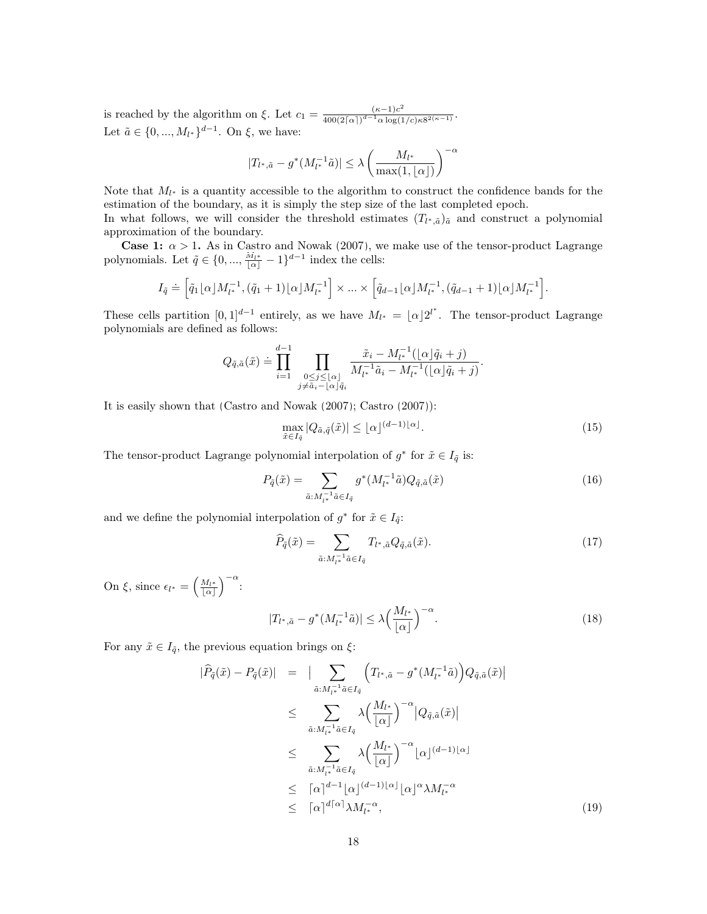is reached by the algorithm on  $\xi$ . Let  $c_1 = \frac{(\kappa - 1)c^2}{400(2\log 1)d - 1 \alpha \log 1}$  $\frac{(\kappa-1)c}{400(2\lceil\alpha\rceil)^{d-1}\alpha\log(1/c)\kappa 8^{2(\kappa-1)}}.$ Let  $\tilde{a} \in \{0, ..., M_{l^*}\}^{d-1}$ . On  $\xi$ , we have:

$$
|T_{l^*,\tilde{a}}-g^*(M_{l^*}^{-1}\tilde{a})|\leq \lambda \left(\frac{M_{l^*}}{\max(1,\lfloor\alpha\rfloor)}\right)^{-\alpha}
$$

Note that  $M_{l^*}$  is a quantity accessible to the algorithm to construct the confidence bands for the estimation of the boundary, as it is simply the step size of the last completed epoch. In what follows, we will consider the threshold estimates  $(T_{l^*,\tilde{a}})_{\tilde{a}}$  and construct a polynomial approximation of the boundary.

**Case 1:**  $\alpha > 1$ . As in [Castro and Nowak](#page-12-0) [\(2007\)](#page-12-0), we make use of the tensor-product Lagrange polynomials. Let  $\tilde{q} \in \{0, ..., \frac{M_{l^*}}{|\alpha|} - 1\}^{d-1}$  index the cells:

$$
I_{\tilde{q}} \doteq \Big[ \tilde{q}_1 \lfloor \alpha \rfloor M_{l^*}^{-1}, (\tilde{q}_1 + 1) \lfloor \alpha \rfloor M_{l^*}^{-1} \Big] \times \ldots \times \Big[ \tilde{q}_{d-1} \lfloor \alpha \rfloor M_{l^*}^{-1}, (\tilde{q}_{d-1} + 1) \lfloor \alpha \rfloor M_{l^*}^{-1} \Big].
$$

These cells partition  $[0,1]^{d-1}$  entirely, as we have  $M_{l^*} = \lfloor \alpha \rfloor 2^{l^*}$ . The tensor-product Lagrange polynomials are defined as follows:

$$
Q_{\tilde{q},\tilde{a}}(\tilde{x}) \doteq \prod_{i=1}^{d-1} \prod_{\substack{0 \le j \le \lfloor \alpha \rfloor \\ j \neq \tilde{a}_i - \lfloor \alpha \rfloor \tilde{q}_i}} \frac{\tilde{x}_i - M_{l^*}^{-1}(\lfloor \alpha \rfloor \tilde{q}_i + j)}{M_{l^*}^{-1}\tilde{a}_i - M_{l^*}^{-1}(\lfloor \alpha \rfloor \tilde{q}_i + j)}.
$$

It is easily shown that [\(Castro and Nowak](#page-12-0) [\(2007\)](#page-12-0); [Castro](#page-12-8) [\(2007\)](#page-12-8)):

<span id="page-17-0"></span>
$$
\max_{\tilde{x}\in I_{\tilde{q}}}|Q_{\tilde{a},\tilde{q}}(\tilde{x})| \leq \lfloor \alpha \rfloor^{(d-1)\lfloor \alpha \rfloor}.
$$
\n(15)

The tensor-product Lagrange polynomial interpolation of  $g^*$  for  $\tilde{x} \in I_{\tilde{q}}$  is:

$$
P_{\tilde{q}}(\tilde{x}) = \sum_{\tilde{a}: M_{l^*}^{-1} \tilde{a} \in I_{\tilde{q}}} g^*(M_{l^*}^{-1} \tilde{a}) Q_{\tilde{q}, \tilde{a}}(\tilde{x})
$$
(16)

and we define the polynomial interpolation of  $g^*$  for  $\tilde{x} \in I_{\tilde{q}}$ :

$$
\widehat{P}_{\tilde{q}}(\tilde{x}) = \sum_{\tilde{a}: M_{l^*}^{-1} \tilde{a} \in I_{\tilde{q}}} T_{l^*, \tilde{a}} Q_{\tilde{q}, \tilde{a}}(\tilde{x}). \tag{17}
$$

On  $\xi$ , since  $\epsilon_{l^*} = \left(\frac{M_{l^*}}{|\alpha|}\right)^{-\alpha}$ :

<span id="page-17-2"></span>
$$
|T_{l^*,\tilde{a}} - g^*(M_{l^*}^{-1}\tilde{a})| \le \lambda \left(\frac{M_{l^*}}{\lfloor \alpha \rfloor}\right)^{-\alpha}.\tag{18}
$$

For any  $\tilde{x} \in I_{\tilde{q}}$ , the previous equation brings on  $\xi$ :

<span id="page-17-1"></span>
$$
|\widehat{P}_{\tilde{q}}(\tilde{x}) - P_{\tilde{q}}(\tilde{x})| = \left| \sum_{\tilde{a}: M_{l^*}^{-1} \tilde{a} \in I_{\tilde{q}}} \left( T_{l^*,\tilde{a}} - g^*(M_{l^*}^{-1} \tilde{a}) \right) Q_{\tilde{q},\tilde{a}}(\tilde{x}) \right|
$$
  

$$
\leq \sum_{\tilde{a}: M_{l^*}^{-1} \tilde{a} \in I_{\tilde{q}}} \lambda \left( \frac{M_{l^*}}{|\alpha|} \right)^{-\alpha} |Q_{\tilde{q},\tilde{a}}(\tilde{x})|
$$
  

$$
\leq \sum_{\tilde{a}: M_{l^*}^{-1} \tilde{a} \in I_{\tilde{q}}} \lambda \left( \frac{M_{l^*}}{|\alpha|} \right)^{-\alpha} |\alpha|^{(d-1)|\alpha|}
$$
  

$$
\leq |\alpha|^{d-1} |\alpha|^{(d-1)|\alpha|} |\alpha|^\alpha \lambda M_{l^*}^{-\alpha}
$$
  

$$
\leq |\alpha|^{d|\alpha|} \lambda M_{l^*}^{-\alpha}, \qquad (19)
$$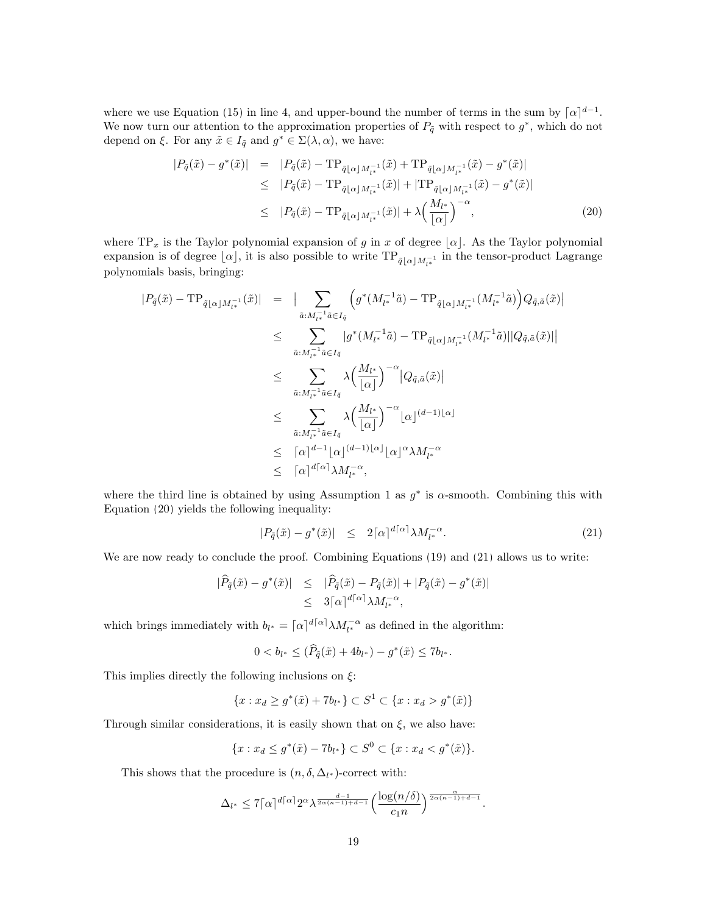where we use Equation [\(15\)](#page-17-0) in line 4, and upper-bound the number of terms in the sum by  $\lceil \alpha \rceil^{d-1}$ . We now turn our attention to the approximation properties of  $P_{\tilde{q}}$  with respect to  $g^*$ , which do not depend on  $\xi$ . For any  $\tilde{x} \in I_{\tilde{q}}$  and  $g^* \in \Sigma(\lambda, \alpha)$ , we have:

<span id="page-18-0"></span>
$$
|P_{\tilde{q}}(\tilde{x}) - g^*(\tilde{x})| = |P_{\tilde{q}}(\tilde{x}) - \text{TP}_{\tilde{q}[\alpha]M_{l^*}^{-1}}(\tilde{x}) + \text{TP}_{\tilde{q}[\alpha]M_{l^*}^{-1}}(\tilde{x}) - g^*(\tilde{x})|
$$
  
\n
$$
\leq |P_{\tilde{q}}(\tilde{x}) - \text{TP}_{\tilde{q}[\alpha]M_{l^*}^{-1}}(\tilde{x})| + |\text{TP}_{\tilde{q}[\alpha]M_{l^*}^{-1}}(\tilde{x}) - g^*(\tilde{x})|
$$
  
\n
$$
\leq |P_{\tilde{q}}(\tilde{x}) - \text{TP}_{\tilde{q}[\alpha]M_{l^*}^{-1}}(\tilde{x})| + \lambda \left(\frac{M_{l^*}}{[\alpha]}\right)^{-\alpha},
$$
\n(20)

where  $TP_x$  is the Taylor polynomial expansion of g in x of degree  $\lfloor \alpha \rfloor$ . As the Taylor polynomial expansion is of degree  $\lfloor \alpha \rfloor$ , it is also possible to write  $\text{TP}_{\tilde{q}\lfloor \alpha\rfloor M_{l^*}^{-1}}$  in the tensor-product Lagrange polynomials basis, bringing:

$$
\begin{array}{rcl} |P_{\tilde{q}}(\tilde{x}) - \text{TP}_{\tilde{q}[\alpha]M_{l^*}^{-1}}(\tilde{x})| & = & \big| \sum_{\tilde{a}: M_{l^*}^{-1}\tilde{a} \in I_{\tilde{q}}} \left( g^*(M_{l^*}^{-1}\tilde{a}) - \text{TP}_{\tilde{q}[\alpha]M_{l^*}^{-1}}(M_{l^*}^{-1}\tilde{a}) \right) Q_{\tilde{q},\tilde{a}}(\tilde{x})| \\ & \leq & \sum_{\tilde{a}: M_{l^*}^{-1}\tilde{a} \in I_{\tilde{q}}} |g^*(M_{l^*}^{-1}\tilde{a}) - \text{TP}_{\tilde{q}[\alpha]M_{l^*}^{-1}}(M_{l^*}^{-1}\tilde{a})||Q_{\tilde{q},\tilde{a}}(\tilde{x})|| \\ & \leq & \sum_{\tilde{a}: M_{l^*}^{-1}\tilde{a} \in I_{\tilde{q}}} \lambda \Big( \frac{M_{l^*}}{|\alpha|} \Big)^{-\alpha} |Q_{\tilde{q},\tilde{a}}(\tilde{x})| \\ & \leq & \sum_{\tilde{a}: M_{l^*}^{-1}\tilde{a} \in I_{\tilde{q}}} \lambda \Big( \frac{M_{l^*}}{|\alpha|} \Big)^{-\alpha} |\alpha|^{(d-1)|\alpha|} \\ & \leq & \big[ \alpha \big]^{d-1} |\alpha|^{(d-1)|\alpha|} |\alpha|^\alpha \lambda M_{l^*}^{-\alpha} \\ & \leq & \big[ \alpha \big]^{d[\alpha]} \lambda M_{l^*}^{-\alpha}, \end{array}
$$

where the third line is obtained by using Assumption [1](#page-3-3) as  $g^*$  is  $\alpha$ -smooth. Combining this with Equation [\(20\)](#page-18-0) yields the following inequality:

<span id="page-18-1"></span>
$$
|P_{\tilde{q}}(\tilde{x}) - g^*(\tilde{x})| \leq 2\lceil \alpha \rceil^{d\lceil \alpha \rceil} \lambda M_{l^*}^{-\alpha}.
$$
 (21)

We are now ready to conclude the proof. Combining Equations [\(19\)](#page-17-1) and [\(21\)](#page-18-1) allows us to write:

$$
\begin{array}{rcl}\n|\widehat{P}_{\tilde{q}}(\tilde{x}) - g^*(\tilde{x})| & \leq & |\widehat{P}_{\tilde{q}}(\tilde{x}) - P_{\tilde{q}}(\tilde{x})| + |P_{\tilde{q}}(\tilde{x}) - g^*(\tilde{x})| \\
& \leq & 3\lceil \alpha \rceil^{d \lceil \alpha \rceil} \lambda M_{l^*}^{-\alpha},\n\end{array}
$$

which brings immediately with  $b_{l^*} = [\alpha]^{d[\alpha]} \lambda M_{l^*}^{-\alpha}$  as defined in the algorithm:

$$
0 < b_{l^*} \leq (\widehat{P}_{\tilde{q}}(\tilde{x}) + 4b_{l^*}) - g^*(\tilde{x}) \leq 7b_{l^*}.
$$

This implies directly the following inclusions on  $\xi$ :

$$
\{x : x_d \ge g^*(\tilde{x}) + 7b_{l^*}\} \subset S^1 \subset \{x : x_d > g^*(\tilde{x})\}
$$

Through similar considerations, it is easily shown that on  $\xi$ , we also have:

$$
\{x: x_d \le g^*(\tilde{x}) - 7b_{l^*}\} \subset S^0 \subset \{x: x_d < g^*(\tilde{x})\}.
$$

This shows that the procedure is  $(n, \delta, \Delta_{l^*})$ -correct with:

$$
\Delta_{l^*}\leq 7\lceil\alpha\rceil^{d\lceil\alpha\rceil}2^{\alpha}\lambda^{\frac{d-1}{2\alpha(\kappa-1)+d-1}}\Big(\frac{\log(n/\delta)}{c_1 n}\Big)^{\frac{\alpha}{2\alpha(\kappa-1)+d-1}}.
$$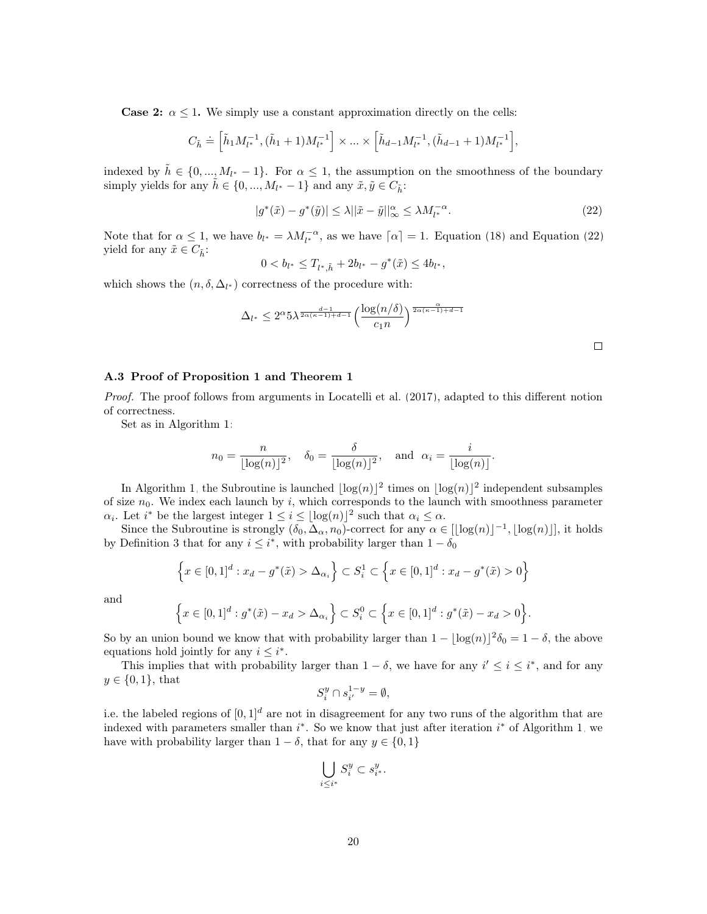**Case 2:**  $\alpha \leq 1$ . We simply use a constant approximation directly on the cells:

$$
C_{\tilde{h}} \doteq \left[\tilde{h}_1M_{l^*}^{-1},(\tilde{h}_1+1)M_{l^*}^{-1}\right] \times \ldots \times \left[\tilde{h}_{d-1}M_{l^*}^{-1},(\tilde{h}_{d-1}+1)M_{l^*}^{-1}\right]
$$

indexed by  $\tilde{h} \in \{0, ..., M_{l^*}-1\}$ . For  $\alpha \leq 1$ , the assumption on the smoothness of the boundary simply yields for any  $\tilde{h} \in \{0, ..., M_{l^*} - 1\}$  and any  $\tilde{x}, \tilde{y} \in C_{\tilde{h}}$ :

$$
|g^*(\tilde{x}) - g^*(\tilde{y})| \le \lambda ||\tilde{x} - \tilde{y}||_{\infty}^{\alpha} \le \lambda M_{l^*}^{-\alpha}.
$$
 (22)

<span id="page-19-1"></span>,

Note that for  $\alpha \leq 1$ , we have  $b_{l^*} = \lambda M_{l^*}^{-\alpha}$ , as we have  $\lceil \alpha \rceil = 1$ . Equation [\(18\)](#page-17-2) and Equation [\(22\)](#page-19-1) yield for any  $\tilde{x} \in C_{\tilde{h}}$ :

$$
0 < b_{l^*} \le T_{l^*,\tilde{h}} + 2b_{l^*} - g^*(\tilde{x}) \le 4b_{l^*},
$$

which shows the  $(n, \delta, \Delta_{l^*})$  correctness of the procedure with:

$$
\Delta_{l^*} \le 2^{\alpha} 5\lambda^{\frac{d-1}{2\alpha(\kappa-1)+d-1}} \left(\frac{\log(n/\delta)}{c_1 n}\right)^{\frac{\alpha}{2\alpha(\kappa-1)+d-1}}
$$

 $\Box$ 

#### <span id="page-19-0"></span>A.3 Proof of Proposition [1](#page-5-0) and Theorem [1](#page-5-1)

Proof. The proof follows from arguments in [Locatelli et al.](#page-12-9) [\(2017\)](#page-12-9), adapted to this different notion of correctness.

Set as in Algorithm [1:](#page-4-1)

$$
n_0 = \frac{n}{\lfloor \log(n) \rfloor^2}, \quad \delta_0 = \frac{\delta}{\lfloor \log(n) \rfloor^2}, \quad \text{and} \quad \alpha_i = \frac{i}{\lfloor \log(n) \rfloor}.
$$

In Algorithm [1,](#page-4-1) the Subroutine is launched  $\lfloor \log(n) \rfloor^2$  times on  $\lfloor \log(n) \rfloor^2$  independent subsamples of size  $n_0$ . We index each launch by i, which corresponds to the launch with smoothness parameter  $\alpha_i$ . Let  $i^*$  be the largest integer  $1 \leq i \leq \lfloor \log(n) \rfloor^2$  such that  $\alpha_i \leq \alpha$ .

Since the Subroutine is strongly  $(\delta_0, \Delta_\alpha, n_0)$ -correct for any  $\alpha \in [\lfloor \log(n) \rfloor^{-1}, \lfloor \log(n) \rfloor]$ , it holds by Definition [3](#page-4-2) that for any  $i \leq i^*$ , with probability larger than  $1 - \delta_0$ 

$$
\left\{x \in [0,1]^d : x_d - g^*(\tilde{x}) > \Delta_{\alpha_i}\right\} \subset S_i^1 \subset \left\{x \in [0,1]^d : x_d - g^*(\tilde{x}) > 0\right\}
$$

and

$$
\left\{x \in [0,1]^d : g^*(\tilde{x}) - x_d > \Delta_{\alpha_i}\right\} \subset S_i^0 \subset \left\{x \in [0,1]^d : g^*(\tilde{x}) - x_d > 0\right\}.
$$

So by an union bound we know that with probability larger than  $1 - \lfloor \log(n) \rfloor^2 \delta_0 = 1 - \delta$ , the above equations hold jointly for any  $i \leq i^*$ .

This implies that with probability larger than  $1 - \delta$ , we have for any  $i' \leq i \leq i^*$ , and for any  $y \in \{0, 1\}$ , that

$$
S_i^y\cap s_{i'}^{1-y}=\emptyset,
$$

i.e. the labeled regions of  $[0, 1]^d$  are not in disagreement for any two runs of the algorithm that are indexed with parameters smaller than  $i^*$ . So we know that just after iteration  $i^*$  of Algorithm [1,](#page-4-1) we have with probability larger than  $1 - \delta$ , that for any  $y \in \{0, 1\}$ 

$$
\bigcup_{i\leq i^*} S_i^y \subset s_{i^*}^y.
$$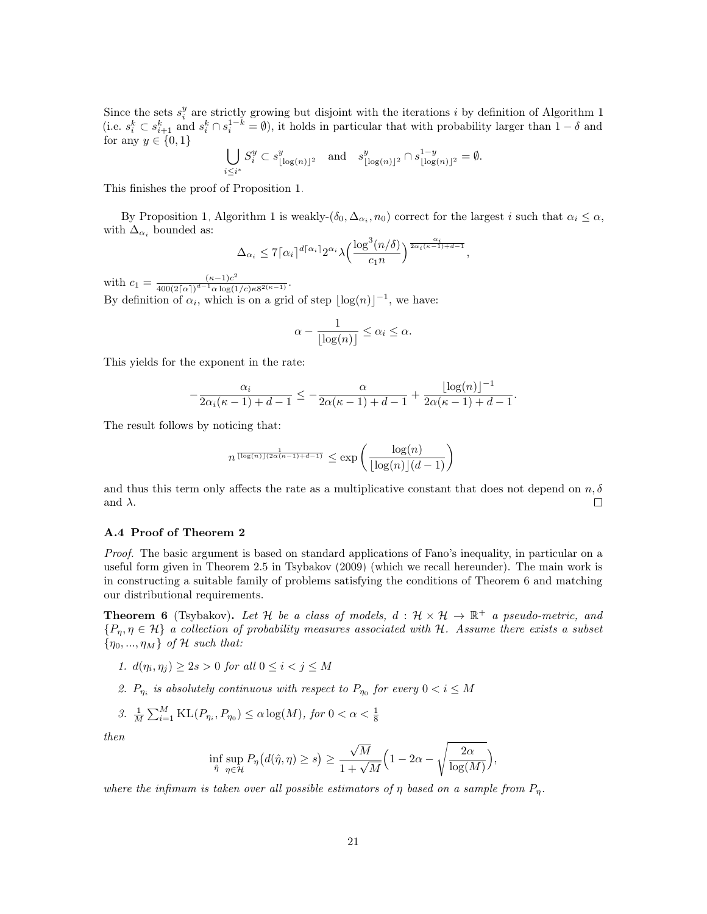Since the sets  $s_i^y$  are strictly growing but disjoint with the iterations i by definition of Algorithm [1](#page-4-1) (i.e.  $s_i^k \subset s_{i+1}^k$  and  $s_i^k \cap s_i^{1-k} = \emptyset$ ), it holds in particular that with probability larger than  $1 - \delta$  and for any  $y \in \{0, 1\}$ 

$$
\bigcup_{i\leq i^*}S_i^y\subset s^y_{\lfloor\log(n)\rfloor^2}\quad\text{and}\quad s^y_{\lfloor\log(n)\rfloor^2}\cap s^{1-y}_{\lfloor\log(n)\rfloor^2}=\emptyset.
$$

This finishes the proof of Proposition [1.](#page-5-0)

By Proposition [1,](#page-5-0) Algorithm [1](#page-4-1) is weakly- $(\delta_0, \Delta_{\alpha_i}, n_0)$  correct for the largest i such that  $\alpha_i \leq \alpha$ , with  $\Delta_{\alpha_i}$  bounded as:

$$
\Delta_{\alpha_i} \leq 7 \lceil \alpha_i \rceil^{d \lceil \alpha_i \rceil} 2^{\alpha_i} \lambda \Big( \frac{\log^3(n/\delta)}{c_1 n} \Big)^{\frac{\alpha_i}{2\alpha_i(\kappa-1)+d-1}},
$$

with  $c_1 = \frac{(\kappa - 1)c^2}{400(2\lceil \alpha \rceil)^{d-1} \alpha \log(1)}$  $\frac{(\kappa-1)c^{-}}{400(2\lceil\alpha\rceil)^{d-1}\alpha\log(1/c)\kappa 8^{2(\kappa-1)}}.$ By definition of  $\alpha_i$ , which is on a grid of step  $\lfloor \log(n) \rfloor^{-1}$ , we have:

$$
\alpha - \frac{1}{\lfloor \log(n) \rfloor} \le \alpha_i \le \alpha.
$$

This yields for the exponent in the rate:

$$
-\frac{\alpha_i}{2\alpha_i(\kappa-1)+d-1} \le -\frac{\alpha}{2\alpha(\kappa-1)+d-1} + \frac{\lfloor \log(n) \rfloor^{-1}}{2\alpha(\kappa-1)+d-1}.
$$

The result follows by noticing that:

$$
n^{\frac{1}{\lfloor \log(n) \rfloor (2\alpha(\kappa-1)+d-1)}} \leq \exp\left(\frac{\log(n)}{\lfloor \log(n) \rfloor(d-1)}\right)
$$

and thus this term only affects the rate as a multiplicative constant that does not depend on  $n, \delta$ and  $\lambda$ .  $\Box$ 

#### <span id="page-20-0"></span>A.4 Proof of Theorem [2](#page-7-1)

Proof. The basic argument is based on standard applications of Fano's inequality, in particular on a useful form given in Theorem 2.5 in [Tsybakov](#page-13-4) [\(2009\)](#page-13-4) (which we recall hereunder). The main work is in constructing a suitable family of problems satisfying the conditions of Theorem [6](#page-20-1) and matching our distributional requirements.

<span id="page-20-1"></span>**Theorem 6** (Tsybakov). Let H be a class of models,  $d : \mathcal{H} \times \mathcal{H} \to \mathbb{R}^+$  a pseudo-metric, and  $\{P_{\eta}, \eta \in \mathcal{H}\}\$ a collection of probability measures associated with H. Assume there exists a subset  ${\eta_0, ..., \eta_M}$  of H such that:

- 1.  $d(\eta_i, \eta_j) \geq 2s > 0$  for all  $0 \leq i < j \leq M$
- 2.  $P_{\eta_i}$  is absolutely continuous with respect to  $P_{\eta_0}$  for every  $0 < i \leq M$

3. 
$$
\frac{1}{M} \sum_{i=1}^{M} \text{KL}(P_{\eta_i}, P_{\eta_0}) \le \alpha \log(M), \text{ for } 0 < \alpha < \frac{1}{8}
$$

then

$$
\inf_{\hat{\eta}} \sup_{\eta \in \mathcal{H}} P_{\eta} \big( d(\hat{\eta}, \eta) \ge s \big) \ge \frac{\sqrt{M}}{1 + \sqrt{M}} \Big( 1 - 2\alpha - \sqrt{\frac{2\alpha}{\log(M)}} \Big),
$$

where the infimum is taken over all possible estimators of  $\eta$  based on a sample from  $P_{\eta}$ .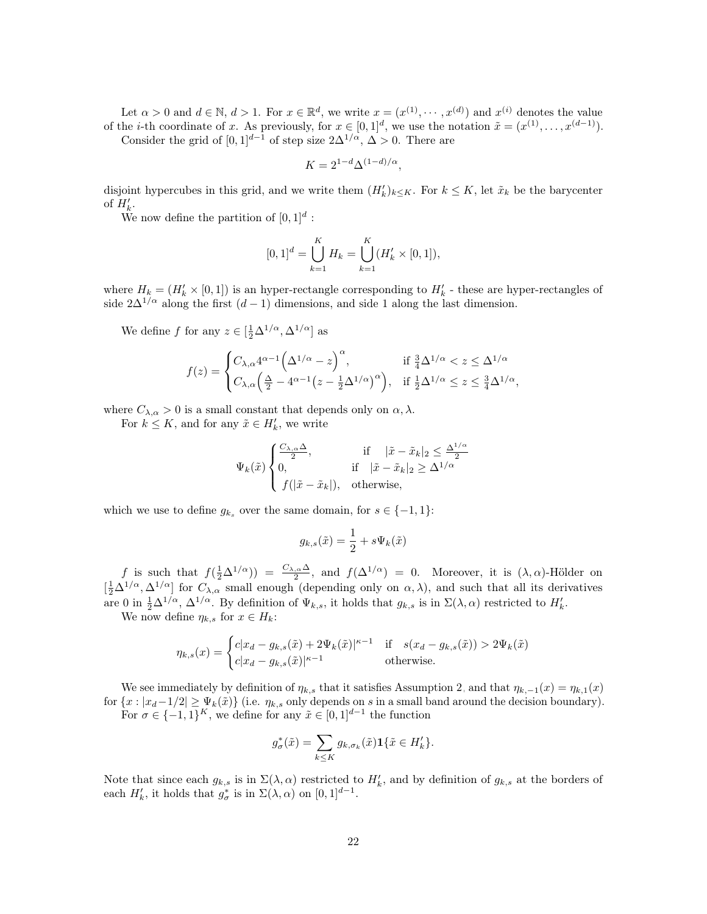Let  $\alpha > 0$  and  $d \in \mathbb{N}$ ,  $d > 1$ . For  $x \in \mathbb{R}^d$ , we write  $x = (x^{(1)}, \dots, x^{(d)})$  and  $x^{(i)}$  denotes the value of the *i*-th coordinate of x. As previously, for  $x \in [0,1]^d$ , we use the notation  $\tilde{x} = (x^{(1)}, \ldots, x^{(d-1)})$ . Consider the grid of  $[0, 1]^{d-1}$  of step size  $2\Delta^{1/\alpha}, \Delta > 0$ . There are

$$
K=2^{1-d}\Delta^{(1-d)/\alpha},
$$

disjoint hypercubes in this grid, and we write them  $(H'_k)_{k\leq K}$ . For  $k \leq K$ , let  $\tilde{x}_k$  be the barycenter of  $H'_{k}$ .

We now define the partition of  $[0,1]^d$ :

$$
[0,1]^d = \bigcup_{k=1}^K H_k = \bigcup_{k=1}^K (H'_k \times [0,1]),
$$

where  $H_k = (H'_k \times [0,1])$  is an hyper-rectangle corresponding to  $H'_k$  - these are hyper-rectangles of side  $2\Delta^{1/\alpha}$  along the first  $(d-1)$  dimensions, and side 1 along the last dimension.

We define f for any  $z \in [\frac{1}{2}\Delta^{1/\alpha}, \Delta^{1/\alpha}]$  as

$$
f(z) = \begin{cases} C_{\lambda,\alpha} 4^{\alpha-1} \left(\Delta^{1/\alpha} - z\right)^{\alpha}, & \text{if } \frac{3}{4} \Delta^{1/\alpha} < z \le \Delta^{1/\alpha} \\ C_{\lambda,\alpha} \left(\frac{\Delta}{2} - 4^{\alpha-1} \left(z - \frac{1}{2} \Delta^{1/\alpha}\right)^{\alpha}\right), & \text{if } \frac{1}{2} \Delta^{1/\alpha} \le z \le \frac{3}{4} \Delta^{1/\alpha}, \end{cases}
$$

where  $C_{\lambda,\alpha} > 0$  is a small constant that depends only on  $\alpha,\lambda$ .

For  $k \leq K$ , and for any  $\tilde{x} \in H'_{k}$ , we write

$$
\Psi_k(\tilde{x}) \begin{cases} \frac{C_{\lambda,\alpha}\Delta}{2}, & \text{if } |\tilde{x} - \tilde{x}_k|_2 \le \frac{\Delta^{1/\alpha}}{2} \\ 0, & \text{if } |\tilde{x} - \tilde{x}_k|_2 \ge \Delta^{1/\alpha} \\ f(|\tilde{x} - \tilde{x}_k|), & \text{otherwise,} \end{cases}
$$

which we use to define  $g_{k_s}$  over the same domain, for  $s \in \{-1, 1\}$ :

$$
g_{k,s}(\tilde{x}) = \frac{1}{2} + s\Psi_k(\tilde{x})
$$

f is such that  $f(\frac{1}{2}\Delta^{1/\alpha}) = \frac{C_{\lambda,\alpha}\Delta}{2}$ , and  $f(\Delta^{1/\alpha}) = 0$ . Moreover, it is  $(\lambda,\alpha)$ -Hölder on  $\left[\frac{1}{2}\Delta^{1/\alpha},\Delta^{1/\alpha}\right]$  for  $C_{\lambda,\alpha}$  small enough (depending only on  $\alpha,\lambda$ ), and such that all its derivatives are 0 in  $\frac{1}{2}\Delta^{1/\alpha}$ ,  $\Delta^{1/\alpha}$ . By definition of  $\Psi_{k,s}$ , it holds that  $g_{k,s}$  is in  $\Sigma(\lambda,\alpha)$  restricted to  $H'_{k}$ .

We now define  $\eta_{k,s}$  for  $x \in H_k$ :

$$
\eta_{k,s}(x) = \begin{cases} c|x_d - g_{k,s}(\tilde{x}) + 2\Psi_k(\tilde{x})|^{\kappa - 1} & \text{if } s(x_d - g_{k,s}(\tilde{x})) > 2\Psi_k(\tilde{x})\\ c|x_d - g_{k,s}(\tilde{x})|^{\kappa - 1} & \text{otherwise.} \end{cases}
$$

We see immediately by definition of  $\eta_{k,s}$  that it satisfies Assumption [2,](#page-3-2) and that  $\eta_{k,-1}(x) = \eta_{k,1}(x)$ for  $\{x : |x_d-1/2| \ge \Psi_k(\tilde{x})\}$  (i.e.  $\eta_{k,s}$  only depends on s in a small band around the decision boundary). For  $\sigma \in \{-1,1\}^K$ , we define for any  $\tilde{x} \in [0,1]^{d-1}$  the function

$$
g_{\sigma}^*(\tilde{x})=\sum_{k\leq K}g_{k,\sigma_k}(\tilde{x})\mathbf{1}\{\tilde{x}\in H_k'\}.
$$

Note that since each  $g_{k,s}$  is in  $\Sigma(\lambda,\alpha)$  restricted to  $H'_{k}$ , and by definition of  $g_{k,s}$  at the borders of each  $H'_{k}$ , it holds that  $g_{\sigma}^{*}$  is in  $\Sigma(\lambda, \alpha)$  on  $[0, 1]^{d-1}$ .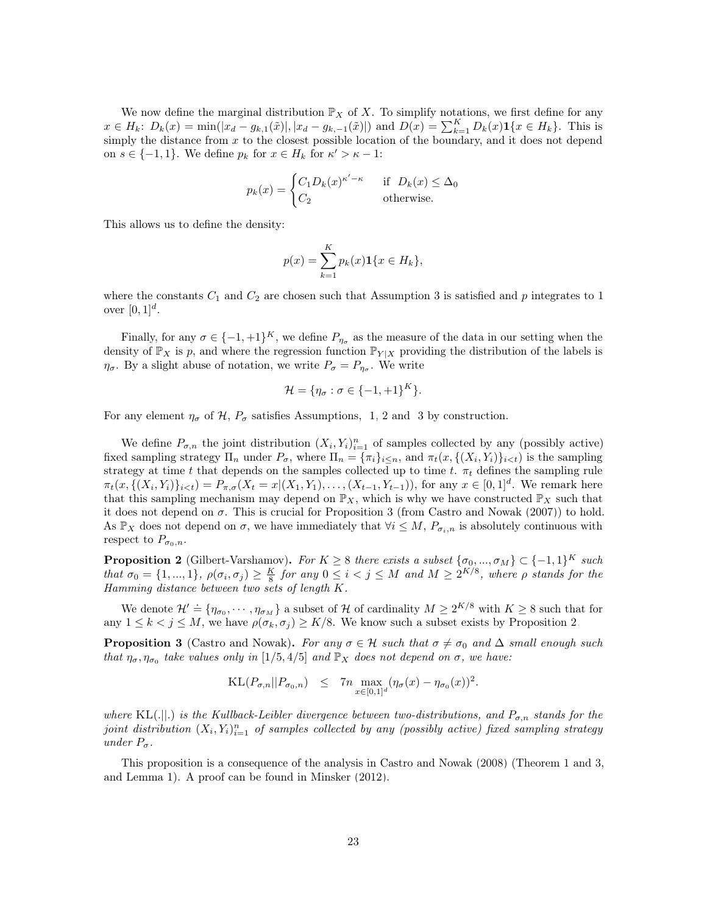We now define the marginal distribution  $\mathbb{P}_X$  of X. To simplify notations, we first define for any  $x \in H_k$ :  $D_k(x) = \min(|x_d - g_{k,1}(\tilde{x})|, |x_d - g_{k,-1}(\tilde{x})|)$  and  $D(x) = \sum_{k=1}^K D_k(x) \mathbf{1}\{x \in H_k\}$ . This is simply the distance from  $x$  to the closest possible location of the boundary, and it does not depend on  $s \in \{-1, 1\}$ . We define  $p_k$  for  $x \in H_k$  for  $\kappa' > \kappa - 1$ :

$$
p_k(x) = \begin{cases} C_1 D_k(x)^{\kappa' - \kappa} & \text{if } D_k(x) \le \Delta_0 \\ C_2 & \text{otherwise.} \end{cases}
$$

This allows us to define the density:

$$
p(x) = \sum_{k=1}^{K} p_k(x) \mathbf{1} \{ x \in H_k \},\
$$

where the constants  $C_1$  and  $C_2$  are chosen such that Assumption [3](#page-6-0) is satisfied and p integrates to 1 over  $[0, 1]^d$ .

Finally, for any  $\sigma \in \{-1, +1\}^K$ , we define  $P_{\eta_{\sigma}}$  as the measure of the data in our setting when the density of  $\mathbb{P}_X$  is p, and where the regression function  $\mathbb{P}_{Y|X}$  providing the distribution of the labels is  $\eta_{\sigma}$ . By a slight abuse of notation, we write  $P_{\sigma} = P_{\eta_{\sigma}}$ . We write

$$
\mathcal{H} = \{\eta_{\sigma} : \sigma \in \{-1, +1\}^K\}.
$$

For any element  $\eta_{\sigma}$  of  $\mathcal{H}, P_{\sigma}$  satisfies Assumptions, [1,](#page-3-3) [2](#page-3-2) and [3](#page-6-0) by construction.

We define  $P_{\sigma,n}$  the joint distribution  $(X_i, Y_i)_{i=1}^n$  of samples collected by any (possibly active) fixed sampling strategy  $\Pi_n$  under  $P_{\sigma}$ , where  $\Pi_n = {\pi_i}_{i \leq n}$ , and  $\pi_t(x, {\{(X_i, Y_i)\}_{i \leq t}})$  is the sampling strategy at time t that depends on the samples collected up to time t.  $\pi_t$  defines the sampling rule  $\pi_t(x, \{(X_i, Y_i)\}_{i \lt t}) = P_{\pi, \sigma}(X_t = x | (X_1, Y_1), \ldots, (X_{t-1}, Y_{t-1}))$ , for any  $x \in [0, 1]^d$ . We remark here that this sampling mechanism may depend on  $\mathbb{P}_X$ , which is why we have constructed  $\mathbb{P}_X$  such that it does not depend on  $\sigma$ . This is crucial for Proposition [3](#page-22-0) (from [Castro and Nowak](#page-12-0) [\(2007\)](#page-12-0)) to hold. As  $\mathbb{P}_X$  does not depend on  $\sigma$ , we have immediately that  $\forall i \leq M$ ,  $P_{\sigma_i,n}$  is absolutely continuous with respect to  $P_{\sigma_0,n}$ .

<span id="page-22-1"></span>**Proposition 2** (Gilbert-Varshamov). For  $K \geq 8$  there exists a subset  $\{\sigma_0, ..., \sigma_M\} \subset \{-1, 1\}^K$  such that  $\sigma_0 = \{1, ..., 1\}$ ,  $\rho(\sigma_i, \sigma_j) \geq \frac{K}{8}$  for any  $0 \leq i < j \leq M$  and  $M \geq 2^{K/8}$ , where  $\rho$  stands for the Hamming distance between two sets of length K.

We denote  $\mathcal{H}' \doteq \{\eta_{\sigma_0}, \cdots, \eta_{\sigma_M}\}\$ a subset of H of cardinality  $M \geq 2^{K/8}$  with  $K \geq 8$  such that for any  $1 \leq k < j \leq M$ , we have  $\rho(\sigma_k, \sigma_j) \geq K/8$ . We know such a subset exists by Proposition [2.](#page-22-1)

<span id="page-22-0"></span>**Proposition 3** (Castro and Nowak). For any  $\sigma \in \mathcal{H}$  such that  $\sigma \neq \sigma_0$  and  $\Delta$  small enough such that  $\eta_{\sigma}, \eta_{\sigma_0}$  take values only in [1/5, 4/5] and  $\mathbb{P}_X$  does not depend on  $\sigma$ , we have:

$$
\mathrm{KL}(P_{\sigma,n}||P_{\sigma_0,n}) \leq 7n \max_{x \in [0,1]^d} (\eta_{\sigma}(x) - \eta_{\sigma_0}(x))^2.
$$

where KL(.||.) is the Kullback-Leibler divergence between two-distributions, and  $P_{\sigma,n}$  stands for the joint distribution  $(X_i, Y_i)_{i=1}^n$  of samples collected by any (possibly active) fixed sampling strategy under  $P_{\sigma}$ .

This proposition is a consequence of the analysis in [Castro and Nowak](#page-12-16) [\(2008\)](#page-12-16) (Theorem 1 and 3, and Lemma 1). A proof can be found in [Minsker](#page-12-4) [\(2012\)](#page-12-4).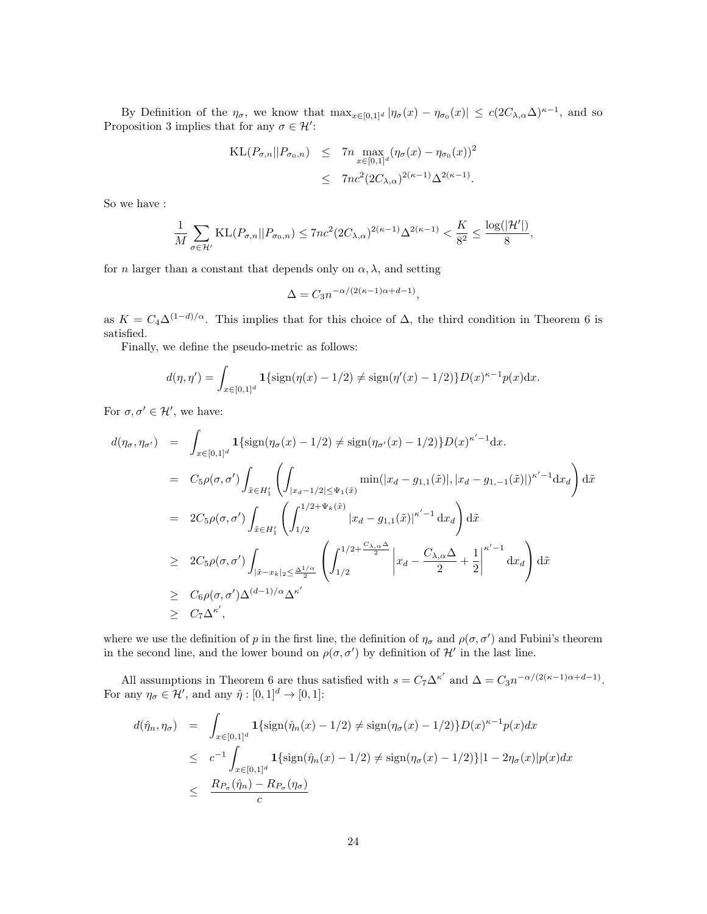By Definition of the  $\eta_{\sigma}$ , we know that  $\max_{x\in[0,1]^d} |\eta_{\sigma}(x) - \eta_{\sigma_0}(x)| \leq c(2C_{\lambda,\alpha}\Delta)^{\kappa-1}$ , and so Proposition [3](#page-22-0) implies that for any  $\sigma \in \mathcal{H}'$ :

KL
$$
(P_{\sigma,n}||P_{\sigma_0,n})
$$
  $\leq$  7n  $\max_{x \in [0,1]^d} (\eta_{\sigma}(x) - \eta_{\sigma_0}(x))^2$   
 $\leq$  7n $c^2(2C_{\lambda,\alpha})^{2(\kappa-1)}\Delta^{2(\kappa-1)}$ .

So we have :

$$
\frac{1}{M}\sum_{\sigma\in\mathcal{H}'}\mathrm{KL}(P_{\sigma,n}||P_{\sigma_{0},n})\leq 7nc^{2}(2C_{\lambda,\alpha})^{2(\kappa-1)}\Delta^{2(\kappa-1)}<\frac{K}{8^{2}}\leq\frac{\log(|\mathcal{H}'|)}{8},
$$

for *n* larger than a constant that depends only on  $\alpha$ ,  $\lambda$ , and setting

$$
\Delta=C_3 n^{-\alpha/(2(\kappa-1)\alpha+d-1)},
$$

as  $K = C_4 \Delta^{(1-d)/\alpha}$ . This implies that for this choice of  $\Delta$ , the third condition in Theorem [6](#page-20-1) is satisfied.

Finally, we define the pseudo-metric as follows:

$$
d(\eta, \eta') = \int_{x \in [0,1]^d} \mathbf{1}\{\text{sign}(\eta(x) - 1/2) \neq \text{sign}(\eta'(x) - 1/2)\} D(x)^{\kappa - 1} p(x) dx.
$$

For  $\sigma, \sigma' \in \mathcal{H}'$ , we have:

$$
d(\eta_{\sigma}, \eta_{\sigma'}) = \int_{x \in [0,1]^d} \mathbf{1} \{ \text{sign}(\eta_{\sigma}(x) - 1/2) \} \neq \text{sign}(\eta_{\sigma'}(x) - 1/2) \} D(x)^{\kappa' - 1} dx.
$$
  
\n
$$
= C_5 \rho(\sigma, \sigma') \int_{\tilde{x} \in H'_1} \left( \int_{|x_d - 1/2| \leq \Psi_1(\tilde{x})} \min(|x_d - g_{1,1}(\tilde{x})|, |x_d - g_{1,-1}(\tilde{x})|)^{\kappa' - 1} dx_d \right) d\tilde{x}
$$
  
\n
$$
= 2C_5 \rho(\sigma, \sigma') \int_{\tilde{x} \in H'_1} \left( \int_{1/2}^{1/2 + \Psi_k(\tilde{x})} |x_d - g_{1,1}(\tilde{x})|^{\kappa' - 1} dx_d \right) d\tilde{x}
$$
  
\n
$$
\geq 2C_5 \rho(\sigma, \sigma') \int_{|\tilde{x} - x_k|_2 \leq \frac{\Delta^{1/\alpha}}{2}} \left( \int_{1/2}^{1/2 + \frac{C_{\lambda,\alpha} \Delta}{2}} \left| x_d - \frac{C_{\lambda,\alpha} \Delta}{2} + \frac{1}{2} \right|^{ \kappa' - 1} dx_d \right) d\tilde{x}
$$
  
\n
$$
\geq C_6 \rho(\sigma, \sigma') \Delta^{(d-1)/\alpha} \Delta^{\kappa'}
$$
  
\n
$$
\geq C_7 \Delta^{\kappa'},
$$

where we use the definition of p in the first line, the definition of  $\eta_{\sigma}$  and  $\rho(\sigma, \sigma')$  and Fubini's theorem in the second line, and the lower bound on  $\rho(\sigma, \sigma')$  by definition of H' in the last line.

All assumptions in Theorem [6](#page-20-1) are thus satisfied with  $s = C_7 \Delta^{\kappa'}$  and  $\Delta = C_3 n^{-\alpha/(2(\kappa-1)\alpha+d-1)}$ . For any  $\eta_{\sigma} \in \mathcal{H}'$ , and any  $\hat{\eta} : [0, 1]^d \to [0, 1]$ :

$$
d(\hat{\eta}_n, \eta_\sigma) = \int_{x \in [0,1]^d} \mathbf{1}\{\text{sign}(\hat{\eta}_n(x) - 1/2) \neq \text{sign}(\eta_\sigma(x) - 1/2)\} D(x)^{\kappa - 1} p(x) dx
$$
  
\n
$$
\leq c^{-1} \int_{x \in [0,1]^d} \mathbf{1}\{\text{sign}(\hat{\eta}_n(x) - 1/2) \neq \text{sign}(\eta_\sigma(x) - 1/2)\} |1 - 2\eta_\sigma(x)| p(x) dx
$$
  
\n
$$
\leq \frac{R_{P_\sigma}(\hat{\eta}_n) - R_{P_\sigma}(\eta_\sigma)}{c}
$$